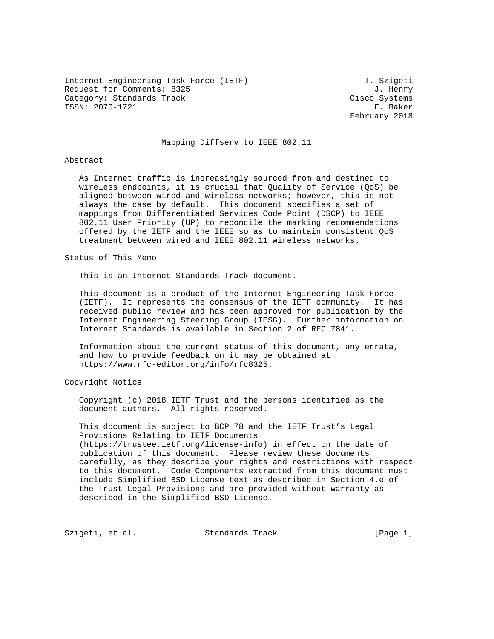Internet Engineering Task Force (IETF) T. Szigeti Request for Comments: 8325 J. Henry Category: Standards Track Cisco Systems ISSN: 2070-1721 F. Baker

February 2018

### Mapping Diffserv to IEEE 802.11

#### Abstract

 As Internet traffic is increasingly sourced from and destined to wireless endpoints, it is crucial that Quality of Service (QoS) be aligned between wired and wireless networks; however, this is not always the case by default. This document specifies a set of mappings from Differentiated Services Code Point (DSCP) to IEEE 802.11 User Priority (UP) to reconcile the marking recommendations offered by the IETF and the IEEE so as to maintain consistent QoS treatment between wired and IEEE 802.11 wireless networks.

Status of This Memo

This is an Internet Standards Track document.

 This document is a product of the Internet Engineering Task Force (IETF). It represents the consensus of the IETF community. It has received public review and has been approved for publication by the Internet Engineering Steering Group (IESG). Further information on Internet Standards is available in Section 2 of RFC 7841.

 Information about the current status of this document, any errata, and how to provide feedback on it may be obtained at https://www.rfc-editor.org/info/rfc8325.

Copyright Notice

 Copyright (c) 2018 IETF Trust and the persons identified as the document authors. All rights reserved.

 This document is subject to BCP 78 and the IETF Trust's Legal Provisions Relating to IETF Documents (https://trustee.ietf.org/license-info) in effect on the date of publication of this document. Please review these documents carefully, as they describe your rights and restrictions with respect to this document. Code Components extracted from this document must include Simplified BSD License text as described in Section 4.e of the Trust Legal Provisions and are provided without warranty as described in the Simplified BSD License.

Szigeti, et al. Standards Track [Page 1]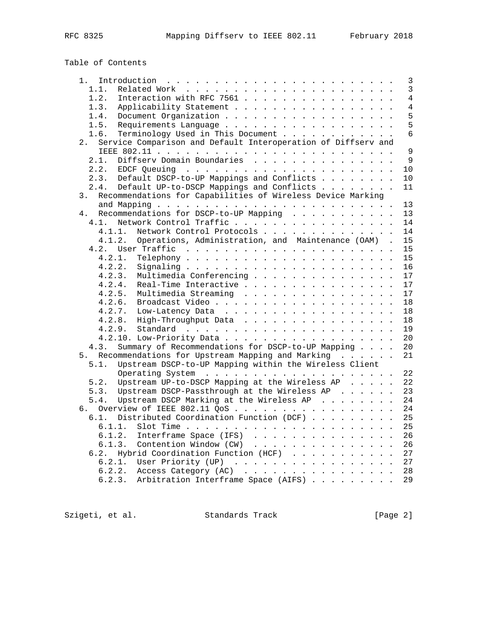# Table of Contents

| $1$ .                                                                                                 | 3              |
|-------------------------------------------------------------------------------------------------------|----------------|
| 1.1.                                                                                                  | $\mathbf{3}$   |
| Interaction with RFC 7561<br>1.2.                                                                     | $\overline{4}$ |
| 1.3.<br>Applicability Statement                                                                       | $\overline{4}$ |
| 1.4.                                                                                                  | 5              |
| Requirements Language<br>1.5.                                                                         | 5              |
| Terminology Used in This Document<br>1.6.                                                             | 6              |
| Service Comparison and Default Interoperation of Diffserv and<br>2.                                   |                |
|                                                                                                       | 9              |
|                                                                                                       |                |
| Diffserv Domain Boundaries<br>2.1.                                                                    | 9              |
| EDCF Queuing $\ldots$ $\ldots$ $\ldots$ $\ldots$ $\ldots$ $\ldots$ $\ldots$ $\ldots$ $\ldots$<br>2.2. | 10             |
| 2.3.<br>Default DSCP-to-UP Mappings and Conflicts                                                     | 10             |
| 2.4.<br>Default UP-to-DSCP Mappings and Conflicts                                                     | 11             |
| Recommendations for Capabilities of Wireless Device Marking<br>3.                                     |                |
|                                                                                                       | 13             |
| Recommendations for DSCP-to-UP Mapping<br>4.                                                          | 13             |
| Network Control Traffic<br>4.1.                                                                       | 14             |
| Network Control Protocols<br>4.1.1.                                                                   | 14             |
| Operations, Administration, and Maintenance (OAM) .<br>4.1.2.                                         | 15             |
|                                                                                                       | 15             |
| 4.2.1.                                                                                                | 15             |
| 4.2.2.                                                                                                | 16             |
| 4.2.3.<br>Multimedia Conferencing                                                                     | 17             |
| 4.2.4.<br>Real-Time Interactive                                                                       | 17             |
| Multimedia Streaming<br>4.2.5.                                                                        | 17             |
|                                                                                                       |                |
| 4.2.6.                                                                                                | 18             |
| 4.2.7. Low-Latency Data                                                                               | 18             |
| 4.2.8. High-Throughput Data                                                                           | 18             |
| 4.2.9.                                                                                                | 19             |
| 4.2.10. Low-Priority Data                                                                             | 20             |
| Summary of Recommendations for DSCP-to-UP Mapping<br>4.3.                                             | 20             |
| Recommendations for Upstream Mapping and Marking<br>5.                                                | 21             |
| Upstream DSCP-to-UP Mapping within the Wireless Client<br>5.1.                                        |                |
|                                                                                                       | 22             |
| Upstream UP-to-DSCP Mapping at the Wireless AP<br>5.2.                                                | 22             |
| Upstream DSCP-Passthrough at the Wireless AP<br>5.3.                                                  | 23             |
| Upstream DSCP Marking at the Wireless AP<br>5.4.                                                      | 24             |
| Overview of IEEE 802.11 QoS<br>б.                                                                     | 24             |
| Distributed Coordination Function (DCF)<br>6.1.                                                       | 25             |
| 6.1.1.                                                                                                | 25             |
| 6.1.2.<br>Interframe Space (IFS)                                                                      | 26             |
| Contention Window (CW)<br>6.1.3.                                                                      | 26             |
| 6.2. Hybrid Coordination Function (HCF)                                                               | 27             |
|                                                                                                       |                |
| 6.2.1.<br>User Priority (UP)                                                                          | 27             |
|                                                                                                       | 28             |
| 6.2.3. Arbitration Interframe Space (AIFS)                                                            | 29             |
|                                                                                                       |                |

Szigeti, et al. Standards Track [Page 2]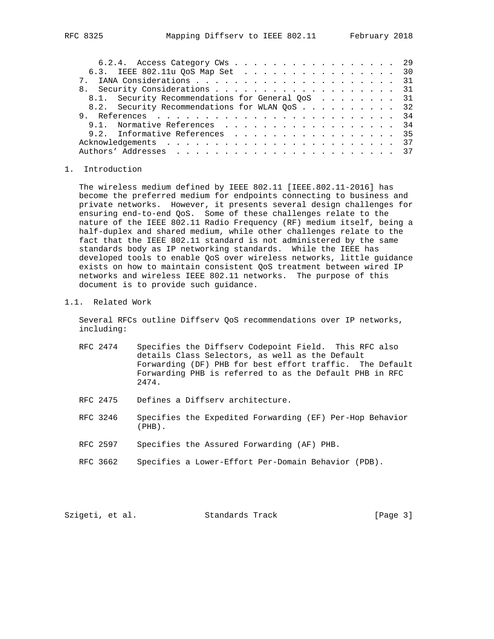| 6.2.4. Access Category CWs 29                    |  |  |  |  |  |  |  |  |  |  |  |
|--------------------------------------------------|--|--|--|--|--|--|--|--|--|--|--|
| 6.3. IEEE 802.11u QoS Map Set 30                 |  |  |  |  |  |  |  |  |  |  |  |
|                                                  |  |  |  |  |  |  |  |  |  |  |  |
| 8. Security Considerations 31                    |  |  |  |  |  |  |  |  |  |  |  |
| 8.1. Security Recommendations for General QoS 31 |  |  |  |  |  |  |  |  |  |  |  |
| 8.2. Security Recommendations for WLAN QoS 32    |  |  |  |  |  |  |  |  |  |  |  |
|                                                  |  |  |  |  |  |  |  |  |  |  |  |
| 9.1. Normative References 34                     |  |  |  |  |  |  |  |  |  |  |  |
| 9.2. Informative References 35                   |  |  |  |  |  |  |  |  |  |  |  |
|                                                  |  |  |  |  |  |  |  |  |  |  |  |
|                                                  |  |  |  |  |  |  |  |  |  |  |  |

#### 1. Introduction

 The wireless medium defined by IEEE 802.11 [IEEE.802.11-2016] has become the preferred medium for endpoints connecting to business and private networks. However, it presents several design challenges for ensuring end-to-end QoS. Some of these challenges relate to the nature of the IEEE 802.11 Radio Frequency (RF) medium itself, being a half-duplex and shared medium, while other challenges relate to the fact that the IEEE 802.11 standard is not administered by the same standards body as IP networking standards. While the IEEE has developed tools to enable QoS over wireless networks, little guidance exists on how to maintain consistent QoS treatment between wired IP networks and wireless IEEE 802.11 networks. The purpose of this document is to provide such guidance.

#### 1.1. Related Work

 Several RFCs outline Diffserv QoS recommendations over IP networks, including:

- RFC 2474 Specifies the Diffserv Codepoint Field. This RFC also details Class Selectors, as well as the Default Forwarding (DF) PHB for best effort traffic. The Default Forwarding PHB is referred to as the Default PHB in RFC 2474.
- RFC 2475 Defines a Diffserv architecture.
- RFC 3246 Specifies the Expedited Forwarding (EF) Per-Hop Behavior (PHB).
- RFC 2597 Specifies the Assured Forwarding (AF) PHB.
- RFC 3662 Specifies a Lower-Effort Per-Domain Behavior (PDB).

| Szigeti, et al.<br>Standards Track | [Page 3] |
|------------------------------------|----------|
|------------------------------------|----------|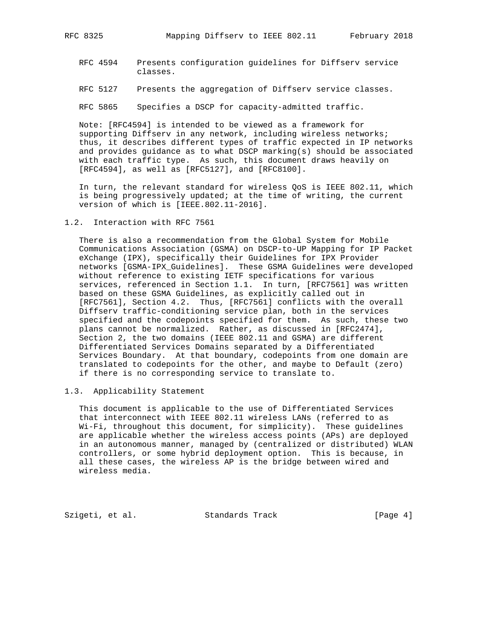- RFC 4594 Presents configuration guidelines for Diffserv service classes.
- RFC 5127 Presents the aggregation of Diffserv service classes.

RFC 5865 Specifies a DSCP for capacity-admitted traffic.

 Note: [RFC4594] is intended to be viewed as a framework for supporting Diffserv in any network, including wireless networks; thus, it describes different types of traffic expected in IP networks and provides guidance as to what DSCP marking(s) should be associated with each traffic type. As such, this document draws heavily on [RFC4594], as well as [RFC5127], and [RFC8100].

 In turn, the relevant standard for wireless QoS is IEEE 802.11, which is being progressively updated; at the time of writing, the current version of which is [IEEE.802.11-2016].

#### 1.2. Interaction with RFC 7561

 There is also a recommendation from the Global System for Mobile Communications Association (GSMA) on DSCP-to-UP Mapping for IP Packet eXchange (IPX), specifically their Guidelines for IPX Provider networks [GSMA-IPX\_Guidelines]. These GSMA Guidelines were developed without reference to existing IETF specifications for various services, referenced in Section 1.1. In turn, [RFC7561] was written based on these GSMA Guidelines, as explicitly called out in [RFC7561], Section 4.2. Thus, [RFC7561] conflicts with the overall Diffserv traffic-conditioning service plan, both in the services specified and the codepoints specified for them. As such, these two plans cannot be normalized. Rather, as discussed in [RFC2474], Section 2, the two domains (IEEE 802.11 and GSMA) are different Differentiated Services Domains separated by a Differentiated Services Boundary. At that boundary, codepoints from one domain are translated to codepoints for the other, and maybe to Default (zero) if there is no corresponding service to translate to.

#### 1.3. Applicability Statement

 This document is applicable to the use of Differentiated Services that interconnect with IEEE 802.11 wireless LANs (referred to as Wi-Fi, throughout this document, for simplicity). These guidelines are applicable whether the wireless access points (APs) are deployed in an autonomous manner, managed by (centralized or distributed) WLAN controllers, or some hybrid deployment option. This is because, in all these cases, the wireless AP is the bridge between wired and wireless media.

Szigeti, et al. Standards Track [Page 4]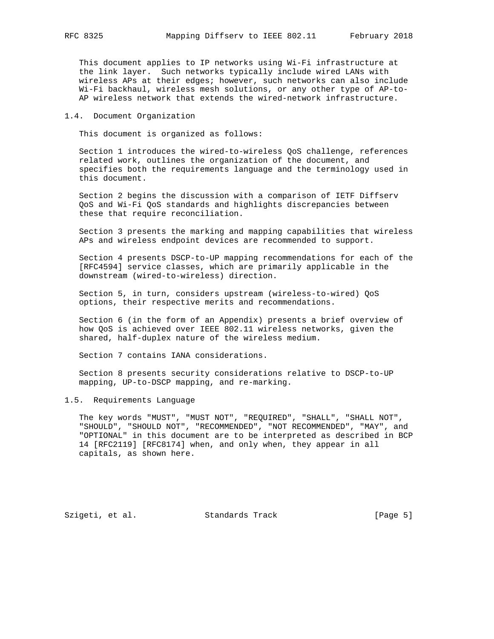This document applies to IP networks using Wi-Fi infrastructure at the link layer. Such networks typically include wired LANs with wireless APs at their edges; however, such networks can also include Wi-Fi backhaul, wireless mesh solutions, or any other type of AP-to- AP wireless network that extends the wired-network infrastructure.

#### 1.4. Document Organization

This document is organized as follows:

 Section 1 introduces the wired-to-wireless QoS challenge, references related work, outlines the organization of the document, and specifies both the requirements language and the terminology used in this document.

 Section 2 begins the discussion with a comparison of IETF Diffserv QoS and Wi-Fi QoS standards and highlights discrepancies between these that require reconciliation.

 Section 3 presents the marking and mapping capabilities that wireless APs and wireless endpoint devices are recommended to support.

 Section 4 presents DSCP-to-UP mapping recommendations for each of the [RFC4594] service classes, which are primarily applicable in the downstream (wired-to-wireless) direction.

 Section 5, in turn, considers upstream (wireless-to-wired) QoS options, their respective merits and recommendations.

 Section 6 (in the form of an Appendix) presents a brief overview of how QoS is achieved over IEEE 802.11 wireless networks, given the shared, half-duplex nature of the wireless medium.

Section 7 contains IANA considerations.

 Section 8 presents security considerations relative to DSCP-to-UP mapping, UP-to-DSCP mapping, and re-marking.

### 1.5. Requirements Language

 The key words "MUST", "MUST NOT", "REQUIRED", "SHALL", "SHALL NOT", "SHOULD", "SHOULD NOT", "RECOMMENDED", "NOT RECOMMENDED", "MAY", and "OPTIONAL" in this document are to be interpreted as described in BCP 14 [RFC2119] [RFC8174] when, and only when, they appear in all capitals, as shown here.

Szigeti, et al. Standards Track [Page 5]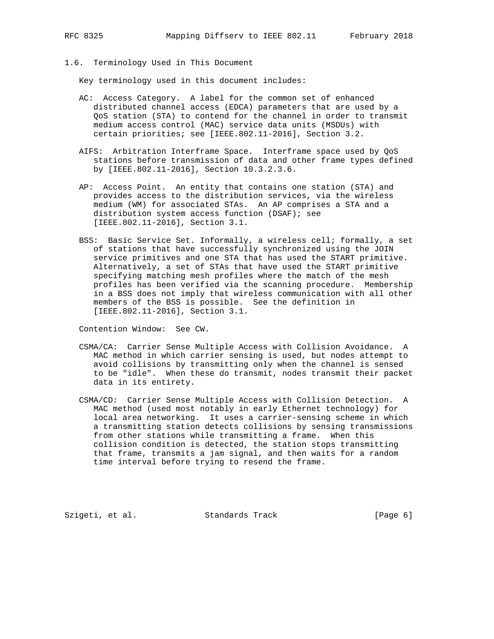- 
- 1.6. Terminology Used in This Document

Key terminology used in this document includes:

- AC: Access Category. A label for the common set of enhanced distributed channel access (EDCA) parameters that are used by a QoS station (STA) to contend for the channel in order to transmit medium access control (MAC) service data units (MSDUs) with certain priorities; see [IEEE.802.11-2016], Section 3.2.
- AIFS: Arbitration Interframe Space. Interframe space used by QoS stations before transmission of data and other frame types defined by [IEEE.802.11-2016], Section 10.3.2.3.6.
- AP: Access Point. An entity that contains one station (STA) and provides access to the distribution services, via the wireless medium (WM) for associated STAs. An AP comprises a STA and a distribution system access function (DSAF); see [IEEE.802.11-2016], Section 3.1.
- BSS: Basic Service Set. Informally, a wireless cell; formally, a set of stations that have successfully synchronized using the JOIN service primitives and one STA that has used the START primitive. Alternatively, a set of STAs that have used the START primitive specifying matching mesh profiles where the match of the mesh profiles has been verified via the scanning procedure. Membership in a BSS does not imply that wireless communication with all other members of the BSS is possible. See the definition in [IEEE.802.11-2016], Section 3.1.

Contention Window: See CW.

- CSMA/CA: Carrier Sense Multiple Access with Collision Avoidance. A MAC method in which carrier sensing is used, but nodes attempt to avoid collisions by transmitting only when the channel is sensed to be "idle". When these do transmit, nodes transmit their packet data in its entirety.
- CSMA/CD: Carrier Sense Multiple Access with Collision Detection. A MAC method (used most notably in early Ethernet technology) for local area networking. It uses a carrier-sensing scheme in which a transmitting station detects collisions by sensing transmissions from other stations while transmitting a frame. When this collision condition is detected, the station stops transmitting that frame, transmits a jam signal, and then waits for a random time interval before trying to resend the frame.

Szigeti, et al. Standards Track [Page 6]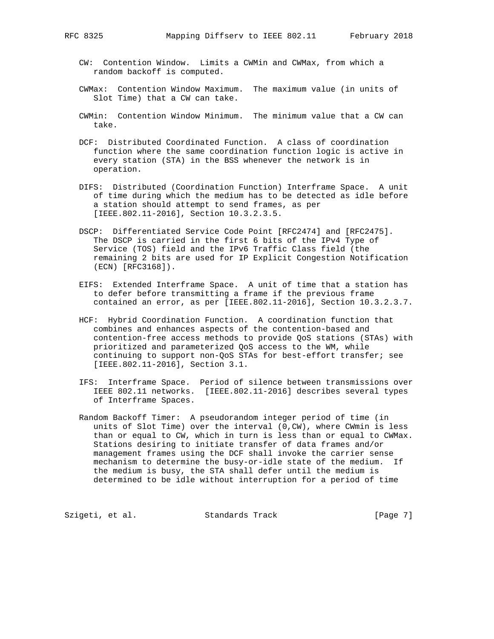- CW: Contention Window. Limits a CWMin and CWMax, from which a random backoff is computed.
- CWMax: Contention Window Maximum. The maximum value (in units of Slot Time) that a CW can take.
- CWMin: Contention Window Minimum. The minimum value that a CW can take.
- DCF: Distributed Coordinated Function. A class of coordination function where the same coordination function logic is active in every station (STA) in the BSS whenever the network is in operation.
- DIFS: Distributed (Coordination Function) Interframe Space. A unit of time during which the medium has to be detected as idle before a station should attempt to send frames, as per [IEEE.802.11-2016], Section 10.3.2.3.5.
- DSCP: Differentiated Service Code Point [RFC2474] and [RFC2475]. The DSCP is carried in the first 6 bits of the IPv4 Type of Service (TOS) field and the IPv6 Traffic Class field (the remaining 2 bits are used for IP Explicit Congestion Notification (ECN) [RFC3168]).
- EIFS: Extended Interframe Space. A unit of time that a station has to defer before transmitting a frame if the previous frame contained an error, as per [IEEE.802.11-2016], Section 10.3.2.3.7.
	- HCF: Hybrid Coordination Function. A coordination function that combines and enhances aspects of the contention-based and contention-free access methods to provide QoS stations (STAs) with prioritized and parameterized QoS access to the WM, while continuing to support non-QoS STAs for best-effort transfer; see [IEEE.802.11-2016], Section 3.1.
	- IFS: Interframe Space. Period of silence between transmissions over IEEE 802.11 networks. [IEEE.802.11-2016] describes several types of Interframe Spaces.
	- Random Backoff Timer: A pseudorandom integer period of time (in units of Slot Time) over the interval (0,CW), where CWmin is less than or equal to CW, which in turn is less than or equal to CWMax. Stations desiring to initiate transfer of data frames and/or management frames using the DCF shall invoke the carrier sense mechanism to determine the busy-or-idle state of the medium. If the medium is busy, the STA shall defer until the medium is determined to be idle without interruption for a period of time

Szigeti, et al. Standards Track [Page 7]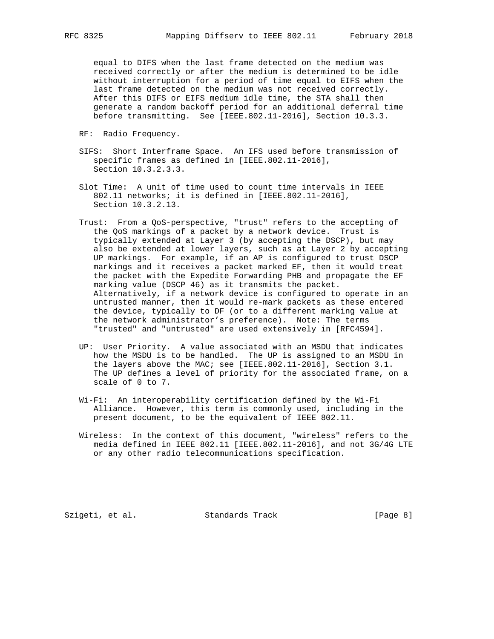equal to DIFS when the last frame detected on the medium was received correctly or after the medium is determined to be idle without interruption for a period of time equal to EIFS when the last frame detected on the medium was not received correctly. After this DIFS or EIFS medium idle time, the STA shall then generate a random backoff period for an additional deferral time before transmitting. See [IEEE.802.11-2016], Section 10.3.3.

- RF: Radio Frequency.
- SIFS: Short Interframe Space. An IFS used before transmission of specific frames as defined in [IEEE.802.11-2016], Section 10.3.2.3.3.
- Slot Time: A unit of time used to count time intervals in IEEE 802.11 networks; it is defined in [IEEE.802.11-2016], Section 10.3.2.13.
- Trust: From a QoS-perspective, "trust" refers to the accepting of the QoS markings of a packet by a network device. Trust is typically extended at Layer 3 (by accepting the DSCP), but may also be extended at lower layers, such as at Layer 2 by accepting UP markings. For example, if an AP is configured to trust DSCP markings and it receives a packet marked EF, then it would treat the packet with the Expedite Forwarding PHB and propagate the EF marking value (DSCP 46) as it transmits the packet. Alternatively, if a network device is configured to operate in an untrusted manner, then it would re-mark packets as these entered the device, typically to DF (or to a different marking value at the network administrator's preference). Note: The terms "trusted" and "untrusted" are used extensively in [RFC4594].
- UP: User Priority. A value associated with an MSDU that indicates how the MSDU is to be handled. The UP is assigned to an MSDU in the layers above the MAC; see [IEEE.802.11-2016], Section 3.1. The UP defines a level of priority for the associated frame, on a scale of 0 to 7.
- Wi-Fi: An interoperability certification defined by the Wi-Fi Alliance. However, this term is commonly used, including in the present document, to be the equivalent of IEEE 802.11.
- Wireless: In the context of this document, "wireless" refers to the media defined in IEEE 802.11 [IEEE.802.11-2016], and not 3G/4G LTE or any other radio telecommunications specification.

Szigeti, et al. Standards Track [Page 8]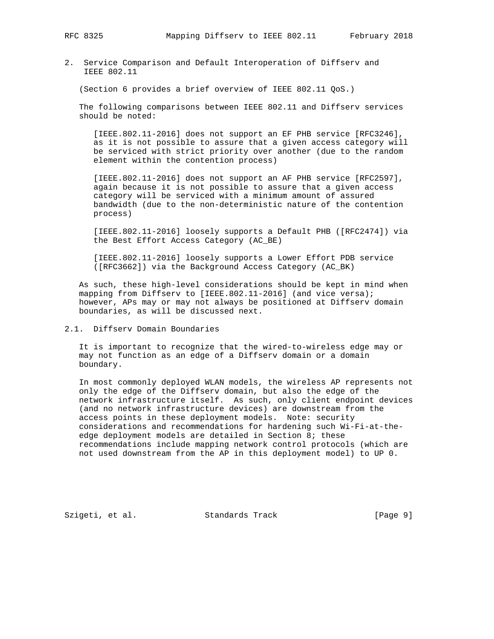2. Service Comparison and Default Interoperation of Diffserv and IEEE 802.11

(Section 6 provides a brief overview of IEEE 802.11 QoS.)

 The following comparisons between IEEE 802.11 and Diffserv services should be noted:

 [IEEE.802.11-2016] does not support an EF PHB service [RFC3246], as it is not possible to assure that a given access category will be serviced with strict priority over another (due to the random element within the contention process)

 [IEEE.802.11-2016] does not support an AF PHB service [RFC2597], again because it is not possible to assure that a given access category will be serviced with a minimum amount of assured bandwidth (due to the non-deterministic nature of the contention process)

 [IEEE.802.11-2016] loosely supports a Default PHB ([RFC2474]) via the Best Effort Access Category (AC\_BE)

 [IEEE.802.11-2016] loosely supports a Lower Effort PDB service ([RFC3662]) via the Background Access Category (AC\_BK)

 As such, these high-level considerations should be kept in mind when mapping from Diffserv to [IEEE.802.11-2016] (and vice versa); however, APs may or may not always be positioned at Diffserv domain boundaries, as will be discussed next.

# 2.1. Diffserv Domain Boundaries

 It is important to recognize that the wired-to-wireless edge may or may not function as an edge of a Diffserv domain or a domain boundary.

 In most commonly deployed WLAN models, the wireless AP represents not only the edge of the Diffserv domain, but also the edge of the network infrastructure itself. As such, only client endpoint devices (and no network infrastructure devices) are downstream from the access points in these deployment models. Note: security considerations and recommendations for hardening such Wi-Fi-at-the edge deployment models are detailed in Section 8; these recommendations include mapping network control protocols (which are not used downstream from the AP in this deployment model) to UP 0.

Szigeti, et al. Standards Track [Page 9]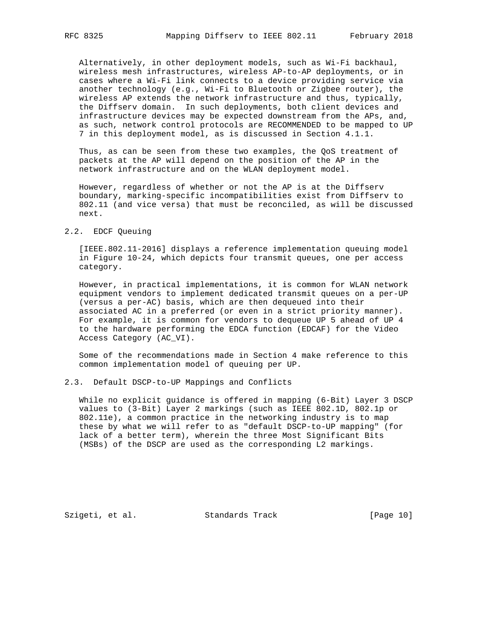Alternatively, in other deployment models, such as Wi-Fi backhaul, wireless mesh infrastructures, wireless AP-to-AP deployments, or in cases where a Wi-Fi link connects to a device providing service via another technology (e.g., Wi-Fi to Bluetooth or Zigbee router), the wireless AP extends the network infrastructure and thus, typically, the Diffserv domain. In such deployments, both client devices and infrastructure devices may be expected downstream from the APs, and, as such, network control protocols are RECOMMENDED to be mapped to UP 7 in this deployment model, as is discussed in Section 4.1.1.

 Thus, as can be seen from these two examples, the QoS treatment of packets at the AP will depend on the position of the AP in the network infrastructure and on the WLAN deployment model.

 However, regardless of whether or not the AP is at the Diffserv boundary, marking-specific incompatibilities exist from Diffserv to 802.11 (and vice versa) that must be reconciled, as will be discussed next.

### 2.2. EDCF Queuing

 [IEEE.802.11-2016] displays a reference implementation queuing model in Figure 10-24, which depicts four transmit queues, one per access category.

 However, in practical implementations, it is common for WLAN network equipment vendors to implement dedicated transmit queues on a per-UP (versus a per-AC) basis, which are then dequeued into their associated AC in a preferred (or even in a strict priority manner). For example, it is common for vendors to dequeue UP 5 ahead of UP 4 to the hardware performing the EDCA function (EDCAF) for the Video Access Category (AC\_VI).

 Some of the recommendations made in Section 4 make reference to this common implementation model of queuing per UP.

#### 2.3. Default DSCP-to-UP Mappings and Conflicts

 While no explicit guidance is offered in mapping (6-Bit) Layer 3 DSCP values to (3-Bit) Layer 2 markings (such as IEEE 802.1D, 802.1p or 802.11e), a common practice in the networking industry is to map these by what we will refer to as "default DSCP-to-UP mapping" (for lack of a better term), wherein the three Most Significant Bits (MSBs) of the DSCP are used as the corresponding L2 markings.

Szigeti, et al. Standards Track [Page 10]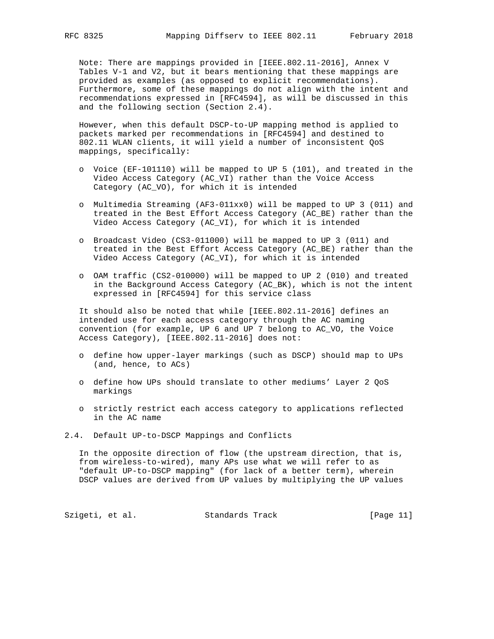Note: There are mappings provided in [IEEE.802.11-2016], Annex V Tables V-1 and V2, but it bears mentioning that these mappings are provided as examples (as opposed to explicit recommendations). Furthermore, some of these mappings do not align with the intent and recommendations expressed in [RFC4594], as will be discussed in this and the following section (Section 2.4).

 However, when this default DSCP-to-UP mapping method is applied to packets marked per recommendations in [RFC4594] and destined to 802.11 WLAN clients, it will yield a number of inconsistent QoS mappings, specifically:

- o Voice (EF-101110) will be mapped to UP 5 (101), and treated in the Video Access Category (AC\_VI) rather than the Voice Access Category (AC\_VO), for which it is intended
- o Multimedia Streaming (AF3-011xx0) will be mapped to UP 3 (011) and treated in the Best Effort Access Category (AC\_BE) rather than the Video Access Category (AC\_VI), for which it is intended
- o Broadcast Video (CS3-011000) will be mapped to UP 3 (011) and treated in the Best Effort Access Category (AC\_BE) rather than the Video Access Category (AC\_VI), for which it is intended
- o OAM traffic (CS2-010000) will be mapped to UP 2 (010) and treated in the Background Access Category (AC\_BK), which is not the intent expressed in [RFC4594] for this service class

 It should also be noted that while [IEEE.802.11-2016] defines an intended use for each access category through the AC naming convention (for example, UP 6 and UP 7 belong to AC\_VO, the Voice Access Category), [IEEE.802.11-2016] does not:

- o define how upper-layer markings (such as DSCP) should map to UPs (and, hence, to ACs)
- o define how UPs should translate to other mediums' Layer 2 QoS markings
- o strictly restrict each access category to applications reflected in the AC name
- 2.4. Default UP-to-DSCP Mappings and Conflicts

 In the opposite direction of flow (the upstream direction, that is, from wireless-to-wired), many APs use what we will refer to as "default UP-to-DSCP mapping" (for lack of a better term), wherein DSCP values are derived from UP values by multiplying the UP values

Szigeti, et al. Standards Track [Page 11]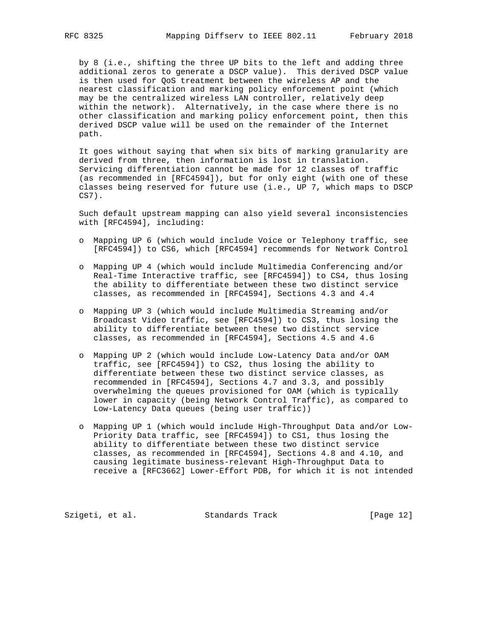by 8 (i.e., shifting the three UP bits to the left and adding three additional zeros to generate a DSCP value). This derived DSCP value is then used for QoS treatment between the wireless AP and the nearest classification and marking policy enforcement point (which may be the centralized wireless LAN controller, relatively deep within the network). Alternatively, in the case where there is no other classification and marking policy enforcement point, then this derived DSCP value will be used on the remainder of the Internet path.

 It goes without saying that when six bits of marking granularity are derived from three, then information is lost in translation. Servicing differentiation cannot be made for 12 classes of traffic (as recommended in [RFC4594]), but for only eight (with one of these classes being reserved for future use (i.e., UP 7, which maps to DSCP CS7).

 Such default upstream mapping can also yield several inconsistencies with [RFC4594], including:

- o Mapping UP 6 (which would include Voice or Telephony traffic, see [RFC4594]) to CS6, which [RFC4594] recommends for Network Control
- o Mapping UP 4 (which would include Multimedia Conferencing and/or Real-Time Interactive traffic, see [RFC4594]) to CS4, thus losing the ability to differentiate between these two distinct service classes, as recommended in [RFC4594], Sections 4.3 and 4.4
- o Mapping UP 3 (which would include Multimedia Streaming and/or Broadcast Video traffic, see [RFC4594]) to CS3, thus losing the ability to differentiate between these two distinct service classes, as recommended in [RFC4594], Sections 4.5 and 4.6
- o Mapping UP 2 (which would include Low-Latency Data and/or OAM traffic, see [RFC4594]) to CS2, thus losing the ability to differentiate between these two distinct service classes, as recommended in [RFC4594], Sections 4.7 and 3.3, and possibly overwhelming the queues provisioned for OAM (which is typically lower in capacity (being Network Control Traffic), as compared to Low-Latency Data queues (being user traffic))
- o Mapping UP 1 (which would include High-Throughput Data and/or Low- Priority Data traffic, see [RFC4594]) to CS1, thus losing the ability to differentiate between these two distinct service classes, as recommended in [RFC4594], Sections 4.8 and 4.10, and causing legitimate business-relevant High-Throughput Data to receive a [RFC3662] Lower-Effort PDB, for which it is not intended

Szigeti, et al. Standards Track [Page 12]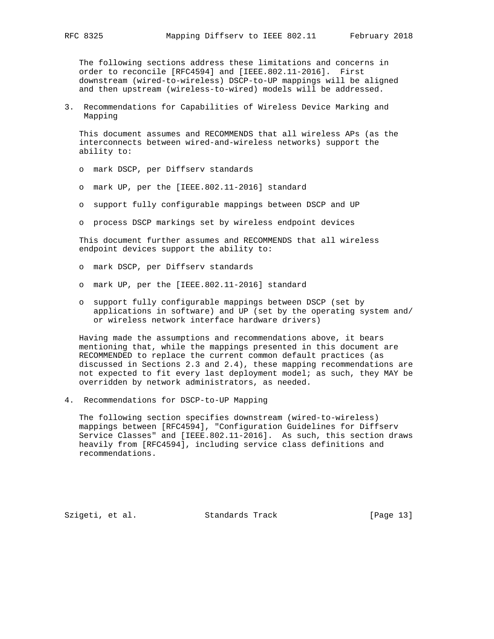The following sections address these limitations and concerns in order to reconcile [RFC4594] and [IEEE.802.11-2016]. First downstream (wired-to-wireless) DSCP-to-UP mappings will be aligned and then upstream (wireless-to-wired) models will be addressed.

3. Recommendations for Capabilities of Wireless Device Marking and Mapping

 This document assumes and RECOMMENDS that all wireless APs (as the interconnects between wired-and-wireless networks) support the ability to:

- o mark DSCP, per Diffserv standards
- o mark UP, per the [IEEE.802.11-2016] standard
- o support fully configurable mappings between DSCP and UP
- o process DSCP markings set by wireless endpoint devices

 This document further assumes and RECOMMENDS that all wireless endpoint devices support the ability to:

- o mark DSCP, per Diffserv standards
- o mark UP, per the [IEEE.802.11-2016] standard
- o support fully configurable mappings between DSCP (set by applications in software) and UP (set by the operating system and/ or wireless network interface hardware drivers)

 Having made the assumptions and recommendations above, it bears mentioning that, while the mappings presented in this document are RECOMMENDED to replace the current common default practices (as discussed in Sections 2.3 and 2.4), these mapping recommendations are not expected to fit every last deployment model; as such, they MAY be overridden by network administrators, as needed.

4. Recommendations for DSCP-to-UP Mapping

 The following section specifies downstream (wired-to-wireless) mappings between [RFC4594], "Configuration Guidelines for Diffserv Service Classes" and [IEEE.802.11-2016]. As such, this section draws heavily from [RFC4594], including service class definitions and recommendations.

Szigeti, et al. Standards Track [Page 13]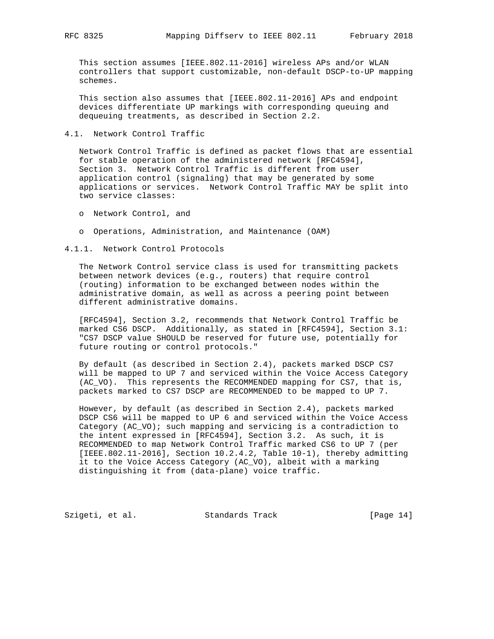This section assumes [IEEE.802.11-2016] wireless APs and/or WLAN controllers that support customizable, non-default DSCP-to-UP mapping schemes.

 This section also assumes that [IEEE.802.11-2016] APs and endpoint devices differentiate UP markings with corresponding queuing and dequeuing treatments, as described in Section 2.2.

#### 4.1. Network Control Traffic

 Network Control Traffic is defined as packet flows that are essential for stable operation of the administered network [RFC4594], Section 3. Network Control Traffic is different from user application control (signaling) that may be generated by some applications or services. Network Control Traffic MAY be split into two service classes:

- o Network Control, and
- o Operations, Administration, and Maintenance (OAM)

4.1.1. Network Control Protocols

 The Network Control service class is used for transmitting packets between network devices (e.g., routers) that require control (routing) information to be exchanged between nodes within the administrative domain, as well as across a peering point between different administrative domains.

 [RFC4594], Section 3.2, recommends that Network Control Traffic be marked CS6 DSCP. Additionally, as stated in [RFC4594], Section 3.1: "CS7 DSCP value SHOULD be reserved for future use, potentially for future routing or control protocols."

 By default (as described in Section 2.4), packets marked DSCP CS7 will be mapped to UP 7 and serviced within the Voice Access Category (AC\_VO). This represents the RECOMMENDED mapping for CS7, that is, packets marked to CS7 DSCP are RECOMMENDED to be mapped to UP 7.

 However, by default (as described in Section 2.4), packets marked DSCP CS6 will be mapped to UP 6 and serviced within the Voice Access Category (AC\_VO); such mapping and servicing is a contradiction to the intent expressed in [RFC4594], Section 3.2. As such, it is RECOMMENDED to map Network Control Traffic marked CS6 to UP 7 (per [IEEE.802.11-2016], Section 10.2.4.2, Table 10-1), thereby admitting it to the Voice Access Category (AC\_VO), albeit with a marking distinguishing it from (data-plane) voice traffic.

Szigeti, et al. Standards Track [Page 14]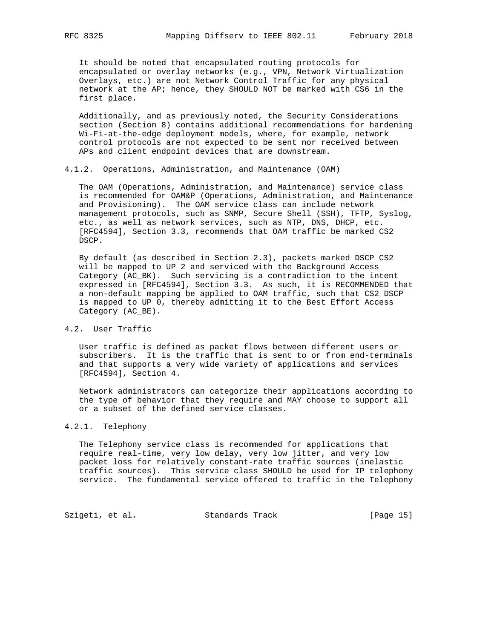It should be noted that encapsulated routing protocols for encapsulated or overlay networks (e.g., VPN, Network Virtualization Overlays, etc.) are not Network Control Traffic for any physical network at the AP; hence, they SHOULD NOT be marked with CS6 in the first place.

 Additionally, and as previously noted, the Security Considerations section (Section 8) contains additional recommendations for hardening Wi-Fi-at-the-edge deployment models, where, for example, network control protocols are not expected to be sent nor received between APs and client endpoint devices that are downstream.

# 4.1.2. Operations, Administration, and Maintenance (OAM)

 The OAM (Operations, Administration, and Maintenance) service class is recommended for OAM&P (Operations, Administration, and Maintenance and Provisioning). The OAM service class can include network management protocols, such as SNMP, Secure Shell (SSH), TFTP, Syslog, etc., as well as network services, such as NTP, DNS, DHCP, etc. [RFC4594], Section 3.3, recommends that OAM traffic be marked CS2 DSCP.

 By default (as described in Section 2.3), packets marked DSCP CS2 will be mapped to UP 2 and serviced with the Background Access Category (AC\_BK). Such servicing is a contradiction to the intent expressed in [RFC4594], Section 3.3. As such, it is RECOMMENDED that a non-default mapping be applied to OAM traffic, such that CS2 DSCP is mapped to UP 0, thereby admitting it to the Best Effort Access Category (AC\_BE).

# 4.2. User Traffic

 User traffic is defined as packet flows between different users or subscribers. It is the traffic that is sent to or from end-terminals and that supports a very wide variety of applications and services [RFC4594], Section 4.

 Network administrators can categorize their applications according to the type of behavior that they require and MAY choose to support all or a subset of the defined service classes.

### 4.2.1. Telephony

 The Telephony service class is recommended for applications that require real-time, very low delay, very low jitter, and very low packet loss for relatively constant-rate traffic sources (inelastic traffic sources). This service class SHOULD be used for IP telephony service. The fundamental service offered to traffic in the Telephony

Szigeti, et al. Standards Track [Page 15]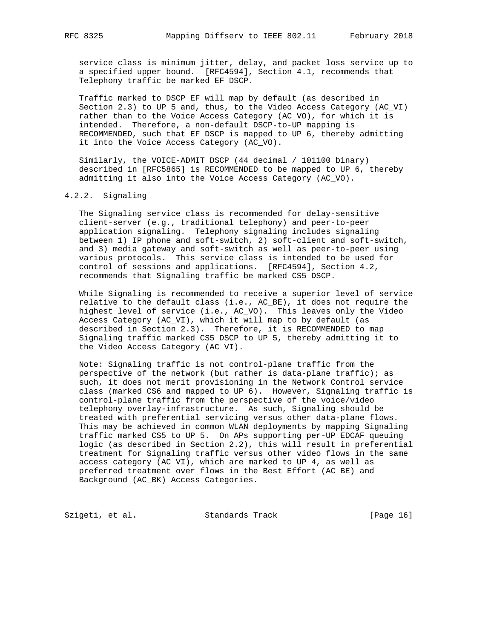service class is minimum jitter, delay, and packet loss service up to a specified upper bound. [RFC4594], Section 4.1, recommends that Telephony traffic be marked EF DSCP.

 Traffic marked to DSCP EF will map by default (as described in Section 2.3) to UP 5 and, thus, to the Video Access Category (AC\_VI) rather than to the Voice Access Category (AC\_VO), for which it is intended. Therefore, a non-default DSCP-to-UP mapping is RECOMMENDED, such that EF DSCP is mapped to UP 6, thereby admitting it into the Voice Access Category (AC\_VO).

 Similarly, the VOICE-ADMIT DSCP (44 decimal / 101100 binary) described in [RFC5865] is RECOMMENDED to be mapped to UP 6, thereby admitting it also into the Voice Access Category (AC\_VO).

#### 4.2.2. Signaling

 The Signaling service class is recommended for delay-sensitive client-server (e.g., traditional telephony) and peer-to-peer application signaling. Telephony signaling includes signaling between 1) IP phone and soft-switch, 2) soft-client and soft-switch, and 3) media gateway and soft-switch as well as peer-to-peer using various protocols. This service class is intended to be used for control of sessions and applications. [RFC4594], Section 4.2, recommends that Signaling traffic be marked CS5 DSCP.

 While Signaling is recommended to receive a superior level of service relative to the default class (i.e., AC\_BE), it does not require the highest level of service (i.e., AC\_VO). This leaves only the Video Access Category (AC\_VI), which it will map to by default (as described in Section 2.3). Therefore, it is RECOMMENDED to map Signaling traffic marked CS5 DSCP to UP 5, thereby admitting it to the Video Access Category (AC\_VI).

 Note: Signaling traffic is not control-plane traffic from the perspective of the network (but rather is data-plane traffic); as such, it does not merit provisioning in the Network Control service class (marked CS6 and mapped to UP 6). However, Signaling traffic is control-plane traffic from the perspective of the voice/video telephony overlay-infrastructure. As such, Signaling should be treated with preferential servicing versus other data-plane flows. This may be achieved in common WLAN deployments by mapping Signaling traffic marked CS5 to UP 5. On APs supporting per-UP EDCAF queuing logic (as described in Section 2.2), this will result in preferential treatment for Signaling traffic versus other video flows in the same access category (AC\_VI), which are marked to UP 4, as well as preferred treatment over flows in the Best Effort (AC\_BE) and Background (AC\_BK) Access Categories.

Szigeti, et al. Standards Track [Page 16]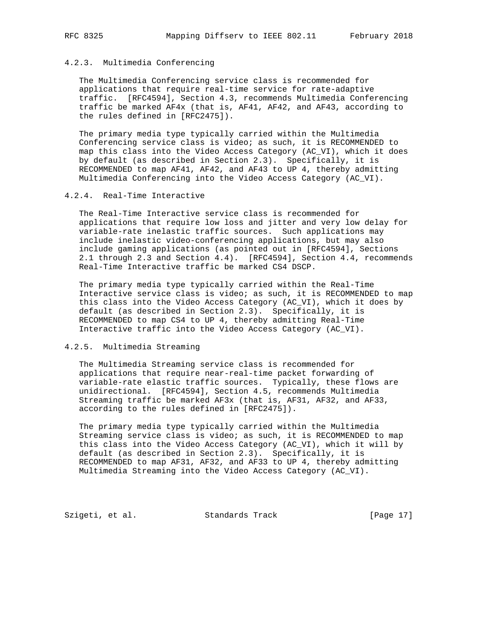# 4.2.3. Multimedia Conferencing

 The Multimedia Conferencing service class is recommended for applications that require real-time service for rate-adaptive traffic. [RFC4594], Section 4.3, recommends Multimedia Conferencing traffic be marked AF4x (that is, AF41, AF42, and AF43, according to the rules defined in [RFC2475]).

 The primary media type typically carried within the Multimedia Conferencing service class is video; as such, it is RECOMMENDED to map this class into the Video Access Category (AC\_VI), which it does by default (as described in Section 2.3). Specifically, it is RECOMMENDED to map AF41, AF42, and AF43 to UP 4, thereby admitting Multimedia Conferencing into the Video Access Category (AC\_VI).

#### 4.2.4. Real-Time Interactive

 The Real-Time Interactive service class is recommended for applications that require low loss and jitter and very low delay for variable-rate inelastic traffic sources. Such applications may include inelastic video-conferencing applications, but may also include gaming applications (as pointed out in [RFC4594], Sections 2.1 through 2.3 and Section 4.4). [RFC4594], Section 4.4, recommends Real-Time Interactive traffic be marked CS4 DSCP.

 The primary media type typically carried within the Real-Time Interactive service class is video; as such, it is RECOMMENDED to map this class into the Video Access Category (AC\_VI), which it does by default (as described in Section 2.3). Specifically, it is RECOMMENDED to map CS4 to UP 4, thereby admitting Real-Time Interactive traffic into the Video Access Category (AC\_VI).

#### 4.2.5. Multimedia Streaming

 The Multimedia Streaming service class is recommended for applications that require near-real-time packet forwarding of variable-rate elastic traffic sources. Typically, these flows are unidirectional. [RFC4594], Section 4.5, recommends Multimedia Streaming traffic be marked AF3x (that is, AF31, AF32, and AF33, according to the rules defined in [RFC2475]).

 The primary media type typically carried within the Multimedia Streaming service class is video; as such, it is RECOMMENDED to map this class into the Video Access Category (AC\_VI), which it will by default (as described in Section 2.3). Specifically, it is RECOMMENDED to map AF31, AF32, and AF33 to UP 4, thereby admitting Multimedia Streaming into the Video Access Category (AC\_VI).

Szigeti, et al. Standards Track [Page 17]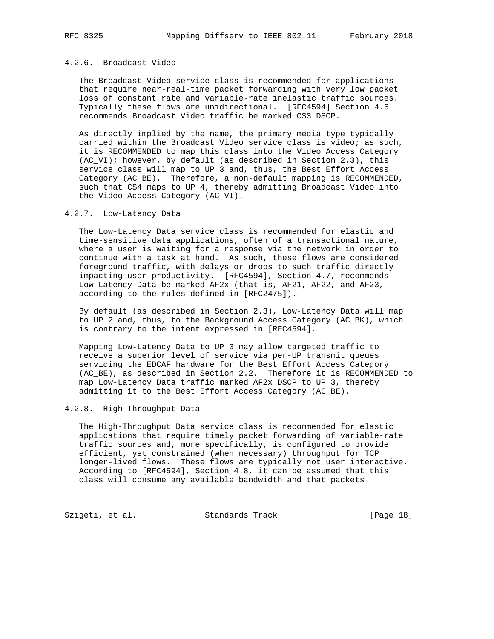# 4.2.6. Broadcast Video

 The Broadcast Video service class is recommended for applications that require near-real-time packet forwarding with very low packet loss of constant rate and variable-rate inelastic traffic sources. Typically these flows are unidirectional. [RFC4594] Section 4.6 recommends Broadcast Video traffic be marked CS3 DSCP.

 As directly implied by the name, the primary media type typically carried within the Broadcast Video service class is video; as such, it is RECOMMENDED to map this class into the Video Access Category (AC\_VI); however, by default (as described in Section 2.3), this service class will map to UP 3 and, thus, the Best Effort Access Category (AC\_BE). Therefore, a non-default mapping is RECOMMENDED, such that CS4 maps to UP 4, thereby admitting Broadcast Video into the Video Access Category (AC\_VI).

#### 4.2.7. Low-Latency Data

 The Low-Latency Data service class is recommended for elastic and time-sensitive data applications, often of a transactional nature, where a user is waiting for a response via the network in order to continue with a task at hand. As such, these flows are considered foreground traffic, with delays or drops to such traffic directly impacting user productivity. [RFC4594], Section 4.7, recommends Low-Latency Data be marked AF2x (that is, AF21, AF22, and AF23, according to the rules defined in [RFC2475]).

 By default (as described in Section 2.3), Low-Latency Data will map to UP 2 and, thus, to the Background Access Category (AC\_BK), which is contrary to the intent expressed in [RFC4594].

 Mapping Low-Latency Data to UP 3 may allow targeted traffic to receive a superior level of service via per-UP transmit queues servicing the EDCAF hardware for the Best Effort Access Category (AC\_BE), as described in Section 2.2. Therefore it is RECOMMENDED to map Low-Latency Data traffic marked AF2x DSCP to UP 3, thereby admitting it to the Best Effort Access Category (AC\_BE).

#### 4.2.8. High-Throughput Data

 The High-Throughput Data service class is recommended for elastic applications that require timely packet forwarding of variable-rate traffic sources and, more specifically, is configured to provide efficient, yet constrained (when necessary) throughput for TCP longer-lived flows. These flows are typically not user interactive. According to [RFC4594], Section 4.8, it can be assumed that this class will consume any available bandwidth and that packets

Szigeti, et al. Standards Track [Page 18]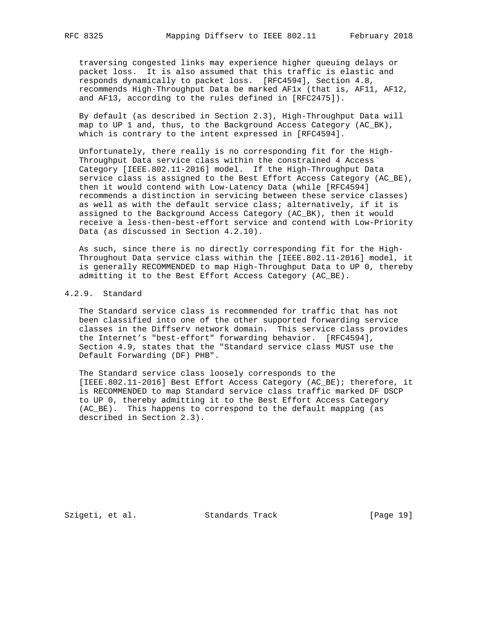traversing congested links may experience higher queuing delays or packet loss. It is also assumed that this traffic is elastic and responds dynamically to packet loss. [RFC4594], Section 4.8, recommends High-Throughput Data be marked AF1x (that is, AF11, AF12, and AF13, according to the rules defined in [RFC2475]).

 By default (as described in Section 2.3), High-Throughput Data will map to UP 1 and, thus, to the Background Access Category (AC\_BK), which is contrary to the intent expressed in [RFC4594].

 Unfortunately, there really is no corresponding fit for the High- Throughput Data service class within the constrained 4 Access Category [IEEE.802.11-2016] model. If the High-Throughput Data service class is assigned to the Best Effort Access Category (AC\_BE), then it would contend with Low-Latency Data (while [RFC4594] recommends a distinction in servicing between these service classes) as well as with the default service class; alternatively, if it is assigned to the Background Access Category (AC\_BK), then it would receive a less-then-best-effort service and contend with Low-Priority Data (as discussed in Section 4.2.10).

 As such, since there is no directly corresponding fit for the High- Throughout Data service class within the [IEEE.802.11-2016] model, it is generally RECOMMENDED to map High-Throughput Data to UP 0, thereby admitting it to the Best Effort Access Category (AC\_BE).

# 4.2.9. Standard

 The Standard service class is recommended for traffic that has not been classified into one of the other supported forwarding service classes in the Diffserv network domain. This service class provides the Internet's "best-effort" forwarding behavior. [RFC4594], Section 4.9, states that the "Standard service class MUST use the Default Forwarding (DF) PHB".

 The Standard service class loosely corresponds to the [IEEE.802.11-2016] Best Effort Access Category (AC\_BE); therefore, it is RECOMMENDED to map Standard service class traffic marked DF DSCP to UP 0, thereby admitting it to the Best Effort Access Category (AC\_BE). This happens to correspond to the default mapping (as described in Section 2.3).

Szigeti, et al. Standards Track [Page 19]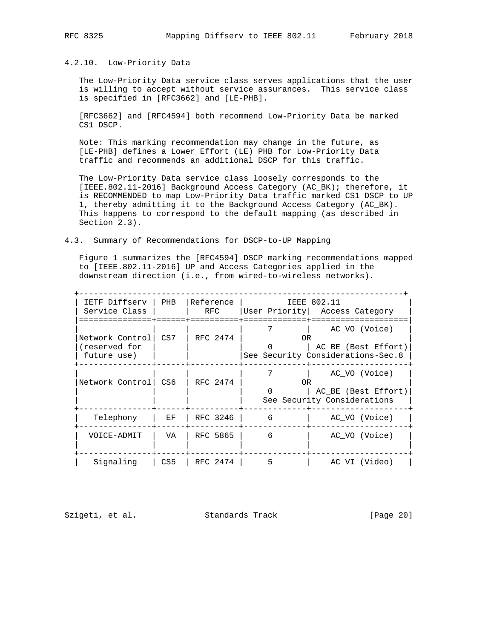### 4.2.10. Low-Priority Data

 The Low-Priority Data service class serves applications that the user is willing to accept without service assurances. This service class is specified in [RFC3662] and [LE-PHB].

 [RFC3662] and [RFC4594] both recommend Low-Priority Data be marked CS1 DSCP.

 Note: This marking recommendation may change in the future, as [LE-PHB] defines a Lower Effort (LE) PHB for Low-Priority Data traffic and recommends an additional DSCP for this traffic.

 The Low-Priority Data service class loosely corresponds to the [IEEE.802.11-2016] Background Access Category (AC\_BK); therefore, it is RECOMMENDED to map Low-Priority Data traffic marked CS1 DSCP to UP 1, thereby admitting it to the Background Access Category (AC\_BK). This happens to correspond to the default mapping (as described in Section 2.3).

#### 4.3. Summary of Recommendations for DSCP-to-UP Mapping

 Figure 1 summarizes the [RFC4594] DSCP marking recommendations mapped to [IEEE.802.11-2016] UP and Access Categories applied in the downstream direction (i.e., from wired-to-wireless networks).

| IETF Diffserv<br>Service Class                  | PHB | Reference<br>RFC |    | IEEE 802.11<br>User Priority   Access Category                            |
|-------------------------------------------------|-----|------------------|----|---------------------------------------------------------------------------|
| Network Control<br>(reserved for<br>future use) | CS7 | RFC 2474         | 0R | AC VO (Voice)<br>AC BE (Best Effort)<br>See Security Considerations-Sec.8 |
| Network Control                                 | CS6 | RFC 2474         | 0R | AC VO (Voice)<br>AC BE (Best Effort)<br>See Security Considerations       |
| Telephony                                       | EF. | RFC 3246         | 6  | AC VO (Voice)                                                             |
| VOICE-ADMIT                                     | VA  | RFC 5865         | 6  | AC VO (Voice)                                                             |
| Signaling                                       | CS5 | RFC 2474         | 5  | AC VI (Video)                                                             |

Szigeti, et al. Standards Track [Page 20]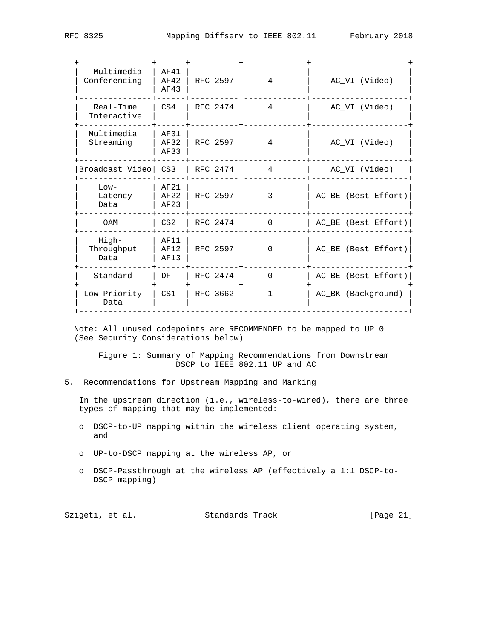| Multimedia<br>Conferencing  | AF41<br>AF42<br>AF43 | RFC 2597 | 4              | AC_VI (Video)       |
|-----------------------------|----------------------|----------|----------------|---------------------|
| Real-Time<br>Interactive    | CS4                  | RFC 2474 | $\overline{4}$ | AC VI (Video)       |
| Multimedia<br>Streaming     | AF31<br>AF32<br>AF33 | RFC 2597 | 4              | AC_VI (Video)       |
| Broadcast Video   CS3       |                      | RFC 2474 | $\overline{4}$ | AC_VI (Video)       |
| $Low-$<br>Latency<br>Data   | AF21<br>AF22<br>AF23 | RFC 2597 | 3              | AC_BE (Best Effort) |
| OAM                         | CS2                  | RFC 2474 | $\Omega$       | AC_BE (Best Effort) |
| High-<br>Throughput<br>Data | AF11<br>AF12<br>AF13 | RFC 2597 | <sup>0</sup>   | AC_BE (Best Effort) |
| Standard                    | DF                   | RFC 2474 | $\Omega$       | AC_BE (Best Effort) |
|                             |                      |          |                |                     |

 Note: All unused codepoints are RECOMMENDED to be mapped to UP 0 (See Security Considerations below)

 | Low-Priority | CS1 | RFC 3662 | 1 | AC\_BK (Background) | | Data | | | | | +--------------------------------------------------------------------+

 Figure 1: Summary of Mapping Recommendations from Downstream DSCP to IEEE 802.11 UP and AC

5. Recommendations for Upstream Mapping and Marking

 In the upstream direction (i.e., wireless-to-wired), there are three types of mapping that may be implemented:

- o DSCP-to-UP mapping within the wireless client operating system, and
- o UP-to-DSCP mapping at the wireless AP, or
- o DSCP-Passthrough at the wireless AP (effectively a 1:1 DSCP-to- DSCP mapping)

| Szigeti, et al. | Standards Track | [Page 21] |
|-----------------|-----------------|-----------|
|-----------------|-----------------|-----------|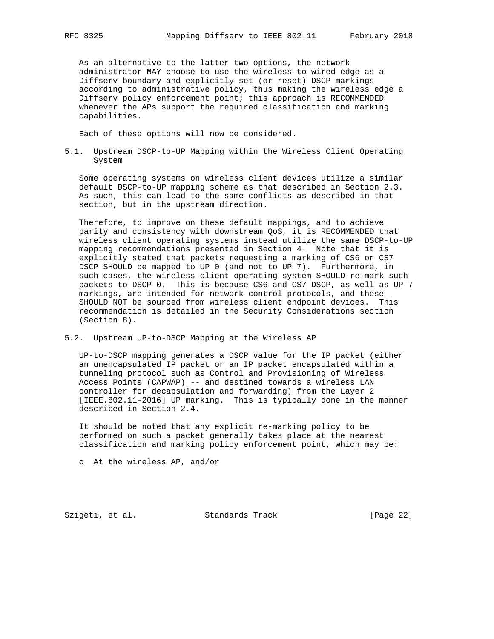As an alternative to the latter two options, the network administrator MAY choose to use the wireless-to-wired edge as a Diffserv boundary and explicitly set (or reset) DSCP markings according to administrative policy, thus making the wireless edge a Diffserv policy enforcement point; this approach is RECOMMENDED whenever the APs support the required classification and marking capabilities.

Each of these options will now be considered.

5.1. Upstream DSCP-to-UP Mapping within the Wireless Client Operating System

 Some operating systems on wireless client devices utilize a similar default DSCP-to-UP mapping scheme as that described in Section 2.3. As such, this can lead to the same conflicts as described in that section, but in the upstream direction.

 Therefore, to improve on these default mappings, and to achieve parity and consistency with downstream QoS, it is RECOMMENDED that wireless client operating systems instead utilize the same DSCP-to-UP mapping recommendations presented in Section 4. Note that it is explicitly stated that packets requesting a marking of CS6 or CS7 DSCP SHOULD be mapped to UP 0 (and not to UP 7). Furthermore, in such cases, the wireless client operating system SHOULD re-mark such packets to DSCP 0. This is because CS6 and CS7 DSCP, as well as UP 7 markings, are intended for network control protocols, and these SHOULD NOT be sourced from wireless client endpoint devices. This recommendation is detailed in the Security Considerations section (Section 8).

5.2. Upstream UP-to-DSCP Mapping at the Wireless AP

 UP-to-DSCP mapping generates a DSCP value for the IP packet (either an unencapsulated IP packet or an IP packet encapsulated within a tunneling protocol such as Control and Provisioning of Wireless Access Points (CAPWAP) -- and destined towards a wireless LAN controller for decapsulation and forwarding) from the Layer 2 [IEEE.802.11-2016] UP marking. This is typically done in the manner described in Section 2.4.

 It should be noted that any explicit re-marking policy to be performed on such a packet generally takes place at the nearest classification and marking policy enforcement point, which may be:

o At the wireless AP, and/or

Szigeti, et al. Standards Track [Page 22]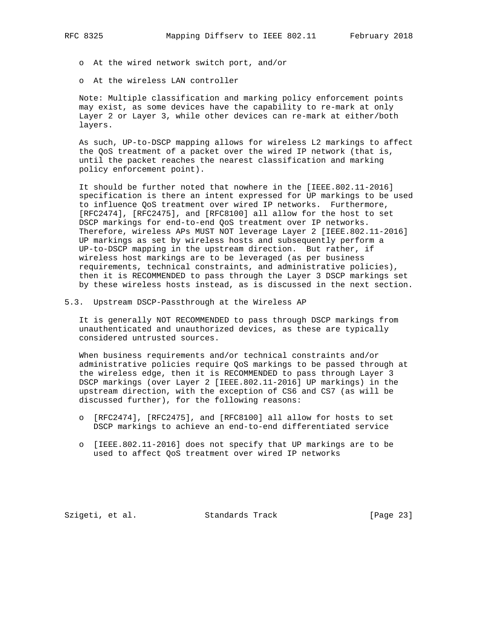- o At the wired network switch port, and/or
- o At the wireless LAN controller

 Note: Multiple classification and marking policy enforcement points may exist, as some devices have the capability to re-mark at only Layer 2 or Layer 3, while other devices can re-mark at either/both layers.

 As such, UP-to-DSCP mapping allows for wireless L2 markings to affect the QoS treatment of a packet over the wired IP network (that is, until the packet reaches the nearest classification and marking policy enforcement point).

 It should be further noted that nowhere in the [IEEE.802.11-2016] specification is there an intent expressed for UP markings to be used to influence QoS treatment over wired IP networks. Furthermore, [RFC2474], [RFC2475], and [RFC8100] all allow for the host to set DSCP markings for end-to-end QoS treatment over IP networks. Therefore, wireless APs MUST NOT leverage Layer 2 [IEEE.802.11-2016] UP markings as set by wireless hosts and subsequently perform a UP-to-DSCP mapping in the upstream direction. But rather, if wireless host markings are to be leveraged (as per business requirements, technical constraints, and administrative policies), then it is RECOMMENDED to pass through the Layer 3 DSCP markings set by these wireless hosts instead, as is discussed in the next section.

5.3. Upstream DSCP-Passthrough at the Wireless AP

 It is generally NOT RECOMMENDED to pass through DSCP markings from unauthenticated and unauthorized devices, as these are typically considered untrusted sources.

 When business requirements and/or technical constraints and/or administrative policies require QoS markings to be passed through at the wireless edge, then it is RECOMMENDED to pass through Layer 3 DSCP markings (over Layer 2 [IEEE.802.11-2016] UP markings) in the upstream direction, with the exception of CS6 and CS7 (as will be discussed further), for the following reasons:

- o [RFC2474], [RFC2475], and [RFC8100] all allow for hosts to set DSCP markings to achieve an end-to-end differentiated service
- o [IEEE.802.11-2016] does not specify that UP markings are to be used to affect QoS treatment over wired IP networks

Szigeti, et al. Standards Track [Page 23]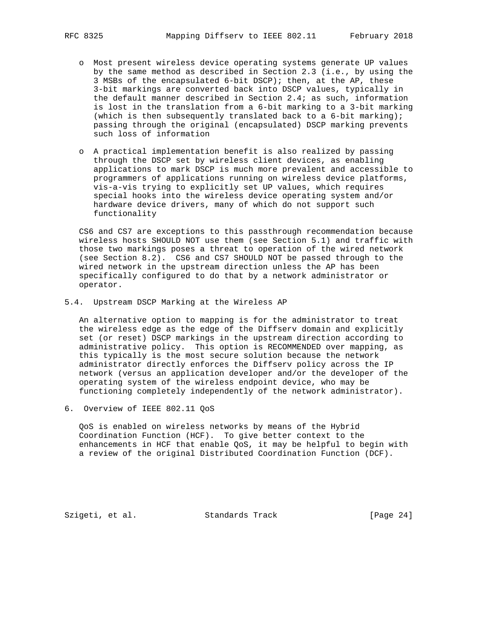- o Most present wireless device operating systems generate UP values by the same method as described in Section 2.3 (i.e., by using the 3 MSBs of the encapsulated 6-bit DSCP); then, at the AP, these 3-bit markings are converted back into DSCP values, typically in the default manner described in Section 2.4; as such, information is lost in the translation from a 6-bit marking to a 3-bit marking (which is then subsequently translated back to a 6-bit marking); passing through the original (encapsulated) DSCP marking prevents such loss of information
- o A practical implementation benefit is also realized by passing through the DSCP set by wireless client devices, as enabling applications to mark DSCP is much more prevalent and accessible to programmers of applications running on wireless device platforms, vis-a-vis trying to explicitly set UP values, which requires special hooks into the wireless device operating system and/or hardware device drivers, many of which do not support such functionality

 CS6 and CS7 are exceptions to this passthrough recommendation because wireless hosts SHOULD NOT use them (see Section 5.1) and traffic with those two markings poses a threat to operation of the wired network (see Section 8.2). CS6 and CS7 SHOULD NOT be passed through to the wired network in the upstream direction unless the AP has been specifically configured to do that by a network administrator or operator.

5.4. Upstream DSCP Marking at the Wireless AP

 An alternative option to mapping is for the administrator to treat the wireless edge as the edge of the Diffserv domain and explicitly set (or reset) DSCP markings in the upstream direction according to administrative policy. This option is RECOMMENDED over mapping, as this typically is the most secure solution because the network administrator directly enforces the Diffserv policy across the IP network (versus an application developer and/or the developer of the operating system of the wireless endpoint device, who may be functioning completely independently of the network administrator).

6. Overview of IEEE 802.11 QoS

 QoS is enabled on wireless networks by means of the Hybrid Coordination Function (HCF). To give better context to the enhancements in HCF that enable QoS, it may be helpful to begin with a review of the original Distributed Coordination Function (DCF).

Szigeti, et al. Standards Track [Page 24]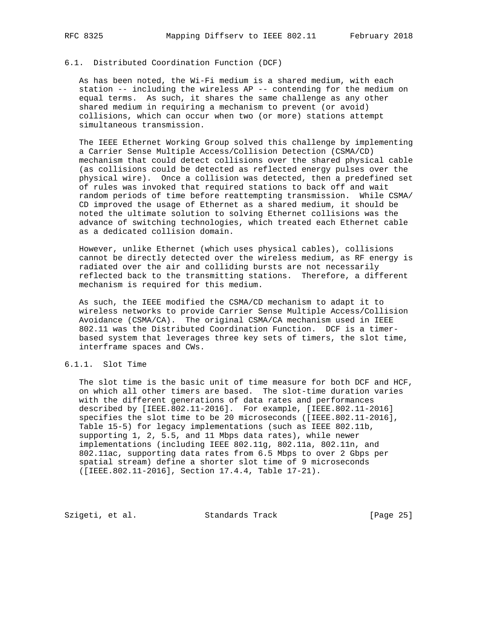# 6.1. Distributed Coordination Function (DCF)

 As has been noted, the Wi-Fi medium is a shared medium, with each station -- including the wireless AP -- contending for the medium on equal terms. As such, it shares the same challenge as any other shared medium in requiring a mechanism to prevent (or avoid) collisions, which can occur when two (or more) stations attempt simultaneous transmission.

 The IEEE Ethernet Working Group solved this challenge by implementing a Carrier Sense Multiple Access/Collision Detection (CSMA/CD) mechanism that could detect collisions over the shared physical cable (as collisions could be detected as reflected energy pulses over the physical wire). Once a collision was detected, then a predefined set of rules was invoked that required stations to back off and wait random periods of time before reattempting transmission. While CSMA/ CD improved the usage of Ethernet as a shared medium, it should be noted the ultimate solution to solving Ethernet collisions was the advance of switching technologies, which treated each Ethernet cable as a dedicated collision domain.

 However, unlike Ethernet (which uses physical cables), collisions cannot be directly detected over the wireless medium, as RF energy is radiated over the air and colliding bursts are not necessarily reflected back to the transmitting stations. Therefore, a different mechanism is required for this medium.

 As such, the IEEE modified the CSMA/CD mechanism to adapt it to wireless networks to provide Carrier Sense Multiple Access/Collision Avoidance (CSMA/CA). The original CSMA/CA mechanism used in IEEE 802.11 was the Distributed Coordination Function. DCF is a timer based system that leverages three key sets of timers, the slot time, interframe spaces and CWs.

# 6.1.1. Slot Time

 The slot time is the basic unit of time measure for both DCF and HCF, on which all other timers are based. The slot-time duration varies with the different generations of data rates and performances described by [IEEE.802.11-2016]. For example, [IEEE.802.11-2016] specifies the slot time to be 20 microseconds ([IEEE.802.11-2016], Table 15-5) for legacy implementations (such as IEEE 802.11b, supporting 1, 2, 5.5, and 11 Mbps data rates), while newer implementations (including IEEE 802.11g, 802.11a, 802.11n, and 802.11ac, supporting data rates from 6.5 Mbps to over 2 Gbps per spatial stream) define a shorter slot time of 9 microseconds ([IEEE.802.11-2016], Section 17.4.4, Table 17-21).

Szigeti, et al. Standards Track [Page 25]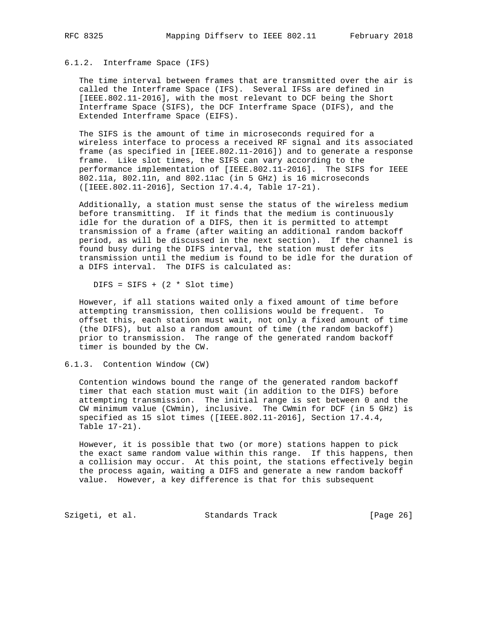#### 6.1.2. Interframe Space (IFS)

 The time interval between frames that are transmitted over the air is called the Interframe Space (IFS). Several IFSs are defined in [IEEE.802.11-2016], with the most relevant to DCF being the Short Interframe Space (SIFS), the DCF Interframe Space (DIFS), and the Extended Interframe Space (EIFS).

 The SIFS is the amount of time in microseconds required for a wireless interface to process a received RF signal and its associated frame (as specified in [IEEE.802.11-2016]) and to generate a response frame. Like slot times, the SIFS can vary according to the performance implementation of [IEEE.802.11-2016]. The SIFS for IEEE 802.11a, 802.11n, and 802.11ac (in 5 GHz) is 16 microseconds ([IEEE.802.11-2016], Section 17.4.4, Table 17-21).

 Additionally, a station must sense the status of the wireless medium before transmitting. If it finds that the medium is continuously idle for the duration of a DIFS, then it is permitted to attempt transmission of a frame (after waiting an additional random backoff period, as will be discussed in the next section). If the channel is found busy during the DIFS interval, the station must defer its transmission until the medium is found to be idle for the duration of a DIFS interval. The DIFS is calculated as:

 $DIFS = SIFS + (2 * Slot time)$ 

 However, if all stations waited only a fixed amount of time before attempting transmission, then collisions would be frequent. To offset this, each station must wait, not only a fixed amount of time (the DIFS), but also a random amount of time (the random backoff) prior to transmission. The range of the generated random backoff timer is bounded by the CW.

6.1.3. Contention Window (CW)

 Contention windows bound the range of the generated random backoff timer that each station must wait (in addition to the DIFS) before attempting transmission. The initial range is set between 0 and the CW minimum value (CWmin), inclusive. The CWmin for DCF (in 5 GHz) is specified as 15 slot times ([IEEE.802.11-2016], Section 17.4.4, Table 17-21).

 However, it is possible that two (or more) stations happen to pick the exact same random value within this range. If this happens, then a collision may occur. At this point, the stations effectively begin the process again, waiting a DIFS and generate a new random backoff value. However, a key difference is that for this subsequent

Szigeti, et al. Standards Track [Page 26]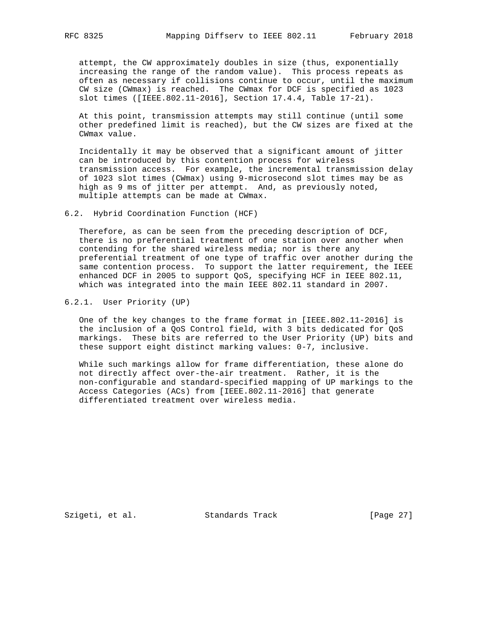attempt, the CW approximately doubles in size (thus, exponentially increasing the range of the random value). This process repeats as often as necessary if collisions continue to occur, until the maximum CW size (CWmax) is reached. The CWmax for DCF is specified as 1023 slot times ([IEEE.802.11-2016], Section 17.4.4, Table 17-21).

 At this point, transmission attempts may still continue (until some other predefined limit is reached), but the CW sizes are fixed at the CWmax value.

 Incidentally it may be observed that a significant amount of jitter can be introduced by this contention process for wireless transmission access. For example, the incremental transmission delay of 1023 slot times (CWmax) using 9-microsecond slot times may be as high as 9 ms of jitter per attempt. And, as previously noted, multiple attempts can be made at CWmax.

6.2. Hybrid Coordination Function (HCF)

Therefore, as can be seen from the preceding description of DCF, there is no preferential treatment of one station over another when contending for the shared wireless media; nor is there any preferential treatment of one type of traffic over another during the same contention process. To support the latter requirement, the IEEE enhanced DCF in 2005 to support QoS, specifying HCF in IEEE 802.11, which was integrated into the main IEEE 802.11 standard in 2007.

6.2.1. User Priority (UP)

 One of the key changes to the frame format in [IEEE.802.11-2016] is the inclusion of a QoS Control field, with 3 bits dedicated for QoS markings. These bits are referred to the User Priority (UP) bits and these support eight distinct marking values: 0-7, inclusive.

 While such markings allow for frame differentiation, these alone do not directly affect over-the-air treatment. Rather, it is the non-configurable and standard-specified mapping of UP markings to the Access Categories (ACs) from [IEEE.802.11-2016] that generate differentiated treatment over wireless media.

Szigeti, et al. Standards Track [Page 27]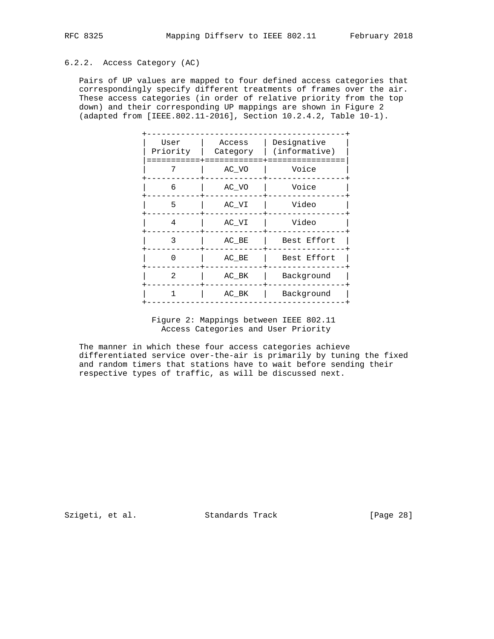#### 6.2.2. Access Category (AC)

 Pairs of UP values are mapped to four defined access categories that correspondingly specify different treatments of frames over the air. These access categories (in order of relative priority from the top down) and their corresponding UP mappings are shown in Figure 2 (adapted from [IEEE.802.11-2016], Section 10.2.4.2, Table 10-1).

| User<br>Priority | Access<br>Category | Designative<br>(informative) |
|------------------|--------------------|------------------------------|
| 7                | AC VO              | Voice                        |
| 6                | AC VO              | Voice                        |
| 5                | AC VI              | Video                        |
| 4                | AC VI              | Video                        |
| 3                | AC BE              | Best Effort                  |
| $\Omega$         | AC BE              | Best Effort                  |
| 2                | AC BK              | Background                   |
| 1                | AC BK              | Background                   |
|                  |                    |                              |

 Figure 2: Mappings between IEEE 802.11 Access Categories and User Priority

 The manner in which these four access categories achieve differentiated service over-the-air is primarily by tuning the fixed and random timers that stations have to wait before sending their respective types of traffic, as will be discussed next.

Szigeti, et al. Standards Track [Page 28]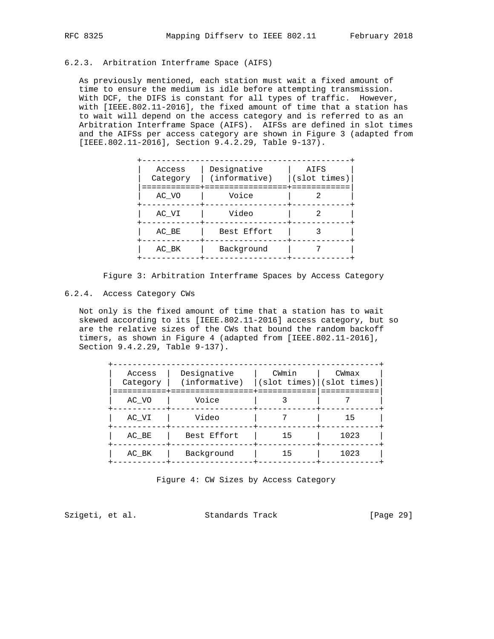# 6.2.3. Arbitration Interframe Space (AIFS)

 As previously mentioned, each station must wait a fixed amount of time to ensure the medium is idle before attempting transmission. With DCF, the DIFS is constant for all types of traffic. However, with [IEEE.802.11-2016], the fixed amount of time that a station has to wait will depend on the access category and is referred to as an Arbitration Interframe Space (AIFS). AIFSs are defined in slot times and the AIFSs per access category are shown in Figure 3 (adapted from [IEEE.802.11-2016], Section 9.4.2.29, Table 9-137).

| Access<br>Category | Designative<br>(informative) | AIFS<br>(slot times) |
|--------------------|------------------------------|----------------------|
| AC VO              | Voice                        |                      |
| AC VI              | Video                        |                      |
| AC BE              | Best Effort                  |                      |
| AC BK              | Background                   |                      |

Figure 3: Arbitration Interframe Spaces by Access Category

#### 6.2.4. Access Category CWs

 Not only is the fixed amount of time that a station has to wait skewed according to its [IEEE.802.11-2016] access category, but so are the relative sizes of the CWs that bound the random backoff timers, as shown in Figure 4 (adapted from [IEEE.802.11-2016], Section 9.4.2.29, Table 9-137).

| Access<br>Category | Designative<br>(informative) | CWmin<br>$ (slot \times)   (slot \times)$ | CWmax |
|--------------------|------------------------------|-------------------------------------------|-------|
| AC VO              | Voice                        |                                           |       |
| AC VI              | Video                        |                                           | 15    |
| AC BE              | Best Effort                  | 15                                        | 1023  |
| AC BK              | Background                   | 15                                        | 1023  |

Figure 4: CW Sizes by Access Category

Szigeti, et al. Standards Track [Page 29]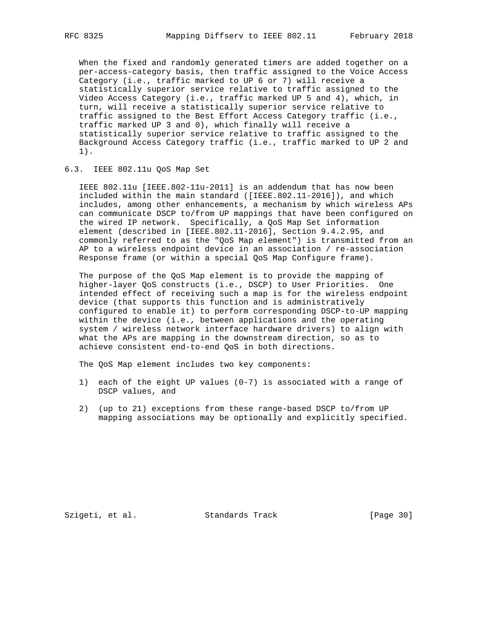When the fixed and randomly generated timers are added together on a per-access-category basis, then traffic assigned to the Voice Access Category (i.e., traffic marked to UP 6 or 7) will receive a statistically superior service relative to traffic assigned to the Video Access Category (i.e., traffic marked UP 5 and 4), which, in turn, will receive a statistically superior service relative to traffic assigned to the Best Effort Access Category traffic (i.e., traffic marked UP 3 and 0), which finally will receive a statistically superior service relative to traffic assigned to the Background Access Category traffic (i.e., traffic marked to UP 2 and 1).

#### 6.3. IEEE 802.11u QoS Map Set

 IEEE 802.11u [IEEE.802-11u-2011] is an addendum that has now been included within the main standard ([IEEE.802.11-2016]), and which includes, among other enhancements, a mechanism by which wireless APs can communicate DSCP to/from UP mappings that have been configured on the wired IP network. Specifically, a QoS Map Set information element (described in [IEEE.802.11-2016], Section 9.4.2.95, and commonly referred to as the "QoS Map element") is transmitted from an AP to a wireless endpoint device in an association / re-association Response frame (or within a special QoS Map Configure frame).

 The purpose of the QoS Map element is to provide the mapping of higher-layer QoS constructs (i.e., DSCP) to User Priorities. One intended effect of receiving such a map is for the wireless endpoint device (that supports this function and is administratively configured to enable it) to perform corresponding DSCP-to-UP mapping within the device (i.e., between applications and the operating system / wireless network interface hardware drivers) to align with what the APs are mapping in the downstream direction, so as to achieve consistent end-to-end QoS in both directions.

The QoS Map element includes two key components:

- 1) each of the eight UP values (0-7) is associated with a range of DSCP values, and
- 2) (up to 21) exceptions from these range-based DSCP to/from UP mapping associations may be optionally and explicitly specified.

Szigeti, et al. Standards Track [Page 30]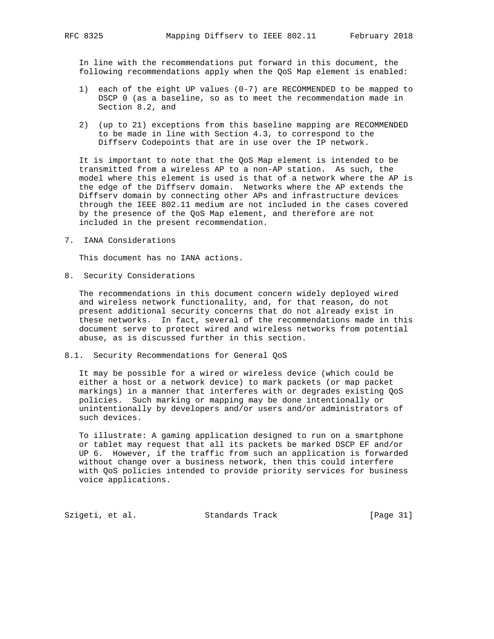In line with the recommendations put forward in this document, the following recommendations apply when the QoS Map element is enabled:

- 1) each of the eight UP values (0-7) are RECOMMENDED to be mapped to DSCP 0 (as a baseline, so as to meet the recommendation made in Section 8.2, and
- 2) (up to 21) exceptions from this baseline mapping are RECOMMENDED to be made in line with Section 4.3, to correspond to the Diffserv Codepoints that are in use over the IP network.

 It is important to note that the QoS Map element is intended to be transmitted from a wireless AP to a non-AP station. As such, the model where this element is used is that of a network where the AP is the edge of the Diffserv domain. Networks where the AP extends the Diffserv domain by connecting other APs and infrastructure devices through the IEEE 802.11 medium are not included in the cases covered by the presence of the QoS Map element, and therefore are not included in the present recommendation.

7. IANA Considerations

This document has no IANA actions.

8. Security Considerations

 The recommendations in this document concern widely deployed wired and wireless network functionality, and, for that reason, do not present additional security concerns that do not already exist in these networks. In fact, several of the recommendations made in this document serve to protect wired and wireless networks from potential abuse, as is discussed further in this section.

8.1. Security Recommendations for General QoS

 It may be possible for a wired or wireless device (which could be either a host or a network device) to mark packets (or map packet markings) in a manner that interferes with or degrades existing QoS policies. Such marking or mapping may be done intentionally or unintentionally by developers and/or users and/or administrators of such devices.

 To illustrate: A gaming application designed to run on a smartphone or tablet may request that all its packets be marked DSCP EF and/or UP 6. However, if the traffic from such an application is forwarded without change over a business network, then this could interfere with QoS policies intended to provide priority services for business voice applications.

Szigeti, et al. Standards Track [Page 31]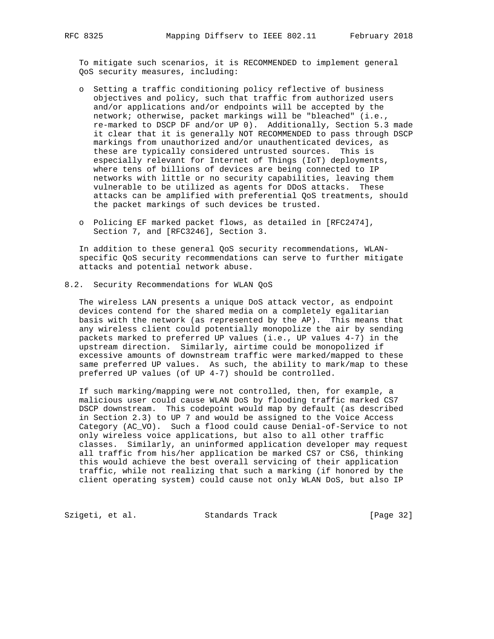To mitigate such scenarios, it is RECOMMENDED to implement general QoS security measures, including:

- o Setting a traffic conditioning policy reflective of business objectives and policy, such that traffic from authorized users and/or applications and/or endpoints will be accepted by the network; otherwise, packet markings will be "bleached" (i.e., re-marked to DSCP DF and/or UP 0). Additionally, Section 5.3 made it clear that it is generally NOT RECOMMENDED to pass through DSCP markings from unauthorized and/or unauthenticated devices, as these are typically considered untrusted sources. This is especially relevant for Internet of Things (IoT) deployments, where tens of billions of devices are being connected to IP networks with little or no security capabilities, leaving them vulnerable to be utilized as agents for DDoS attacks. These attacks can be amplified with preferential QoS treatments, should the packet markings of such devices be trusted.
- o Policing EF marked packet flows, as detailed in [RFC2474], Section 7, and [RFC3246], Section 3.

 In addition to these general QoS security recommendations, WLAN specific QoS security recommendations can serve to further mitigate attacks and potential network abuse.

8.2. Security Recommendations for WLAN QoS

 The wireless LAN presents a unique DoS attack vector, as endpoint devices contend for the shared media on a completely egalitarian basis with the network (as represented by the AP). This means that any wireless client could potentially monopolize the air by sending packets marked to preferred UP values (i.e., UP values 4-7) in the upstream direction. Similarly, airtime could be monopolized if excessive amounts of downstream traffic were marked/mapped to these same preferred UP values. As such, the ability to mark/map to these preferred UP values (of UP 4-7) should be controlled.

 If such marking/mapping were not controlled, then, for example, a malicious user could cause WLAN DoS by flooding traffic marked CS7 DSCP downstream. This codepoint would map by default (as described in Section 2.3) to UP 7 and would be assigned to the Voice Access Category (AC\_VO). Such a flood could cause Denial-of-Service to not only wireless voice applications, but also to all other traffic classes. Similarly, an uninformed application developer may request all traffic from his/her application be marked CS7 or CS6, thinking this would achieve the best overall servicing of their application traffic, while not realizing that such a marking (if honored by the client operating system) could cause not only WLAN DoS, but also IP

Szigeti, et al. Standards Track [Page 32]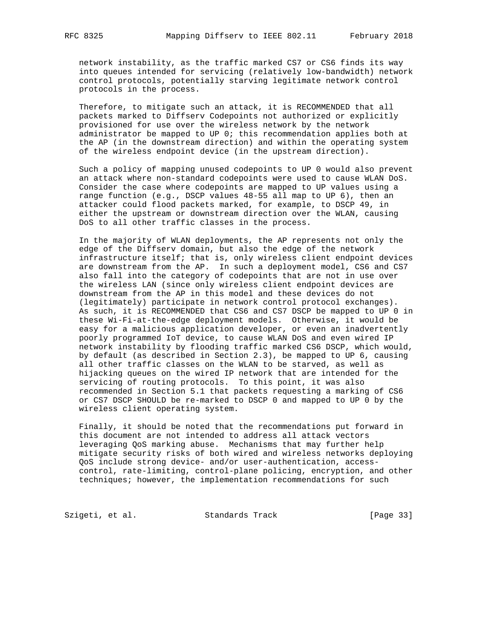network instability, as the traffic marked CS7 or CS6 finds its way into queues intended for servicing (relatively low-bandwidth) network control protocols, potentially starving legitimate network control protocols in the process.

 Therefore, to mitigate such an attack, it is RECOMMENDED that all packets marked to Diffserv Codepoints not authorized or explicitly provisioned for use over the wireless network by the network administrator be mapped to UP 0; this recommendation applies both at the AP (in the downstream direction) and within the operating system of the wireless endpoint device (in the upstream direction).

 Such a policy of mapping unused codepoints to UP 0 would also prevent an attack where non-standard codepoints were used to cause WLAN DoS. Consider the case where codepoints are mapped to UP values using a range function (e.g., DSCP values 48-55 all map to UP 6), then an attacker could flood packets marked, for example, to DSCP 49, in either the upstream or downstream direction over the WLAN, causing DoS to all other traffic classes in the process.

 In the majority of WLAN deployments, the AP represents not only the edge of the Diffserv domain, but also the edge of the network infrastructure itself; that is, only wireless client endpoint devices are downstream from the AP. In such a deployment model, CS6 and CS7 also fall into the category of codepoints that are not in use over the wireless LAN (since only wireless client endpoint devices are downstream from the AP in this model and these devices do not (legitimately) participate in network control protocol exchanges). As such, it is RECOMMENDED that CS6 and CS7 DSCP be mapped to UP 0 in these Wi-Fi-at-the-edge deployment models. Otherwise, it would be easy for a malicious application developer, or even an inadvertently poorly programmed IoT device, to cause WLAN DoS and even wired IP network instability by flooding traffic marked CS6 DSCP, which would, by default (as described in Section 2.3), be mapped to UP 6, causing all other traffic classes on the WLAN to be starved, as well as hijacking queues on the wired IP network that are intended for the servicing of routing protocols. To this point, it was also recommended in Section 5.1 that packets requesting a marking of CS6 or CS7 DSCP SHOULD be re-marked to DSCP 0 and mapped to UP 0 by the wireless client operating system.

 Finally, it should be noted that the recommendations put forward in this document are not intended to address all attack vectors leveraging QoS marking abuse. Mechanisms that may further help mitigate security risks of both wired and wireless networks deploying QoS include strong device- and/or user-authentication, access control, rate-limiting, control-plane policing, encryption, and other techniques; however, the implementation recommendations for such

Szigeti, et al. Standards Track [Page 33]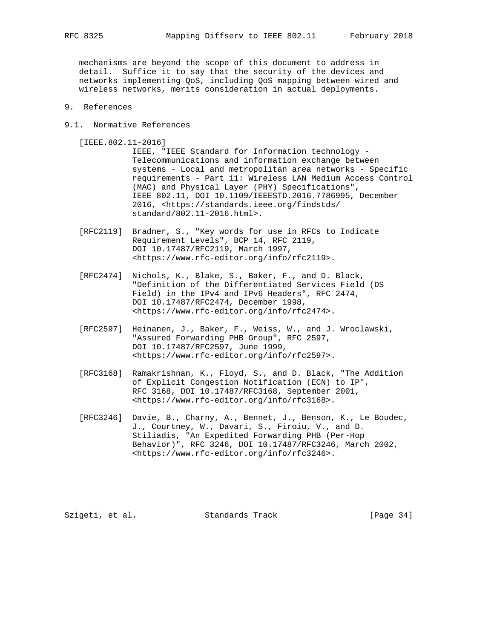mechanisms are beyond the scope of this document to address in detail. Suffice it to say that the security of the devices and networks implementing QoS, including QoS mapping between wired and wireless networks, merits consideration in actual deployments.

- 9. References
- 9.1. Normative References

[IEEE.802.11-2016]

 IEEE, "IEEE Standard for Information technology - Telecommunications and information exchange between systems - Local and metropolitan area networks - Specific requirements - Part 11: Wireless LAN Medium Access Control (MAC) and Physical Layer (PHY) Specifications", IEEE 802.11, DOI 10.1109/IEEESTD.2016.7786995, December 2016, <https://standards.ieee.org/findstds/ standard/802.11-2016.html>.

- [RFC2119] Bradner, S., "Key words for use in RFCs to Indicate Requirement Levels", BCP 14, RFC 2119, DOI 10.17487/RFC2119, March 1997, <https://www.rfc-editor.org/info/rfc2119>.
- [RFC2474] Nichols, K., Blake, S., Baker, F., and D. Black, "Definition of the Differentiated Services Field (DS Field) in the IPv4 and IPv6 Headers", RFC 2474, DOI 10.17487/RFC2474, December 1998, <https://www.rfc-editor.org/info/rfc2474>.
- [RFC2597] Heinanen, J., Baker, F., Weiss, W., and J. Wroclawski, "Assured Forwarding PHB Group", RFC 2597, DOI 10.17487/RFC2597, June 1999, <https://www.rfc-editor.org/info/rfc2597>.
- [RFC3168] Ramakrishnan, K., Floyd, S., and D. Black, "The Addition of Explicit Congestion Notification (ECN) to IP", RFC 3168, DOI 10.17487/RFC3168, September 2001, <https://www.rfc-editor.org/info/rfc3168>.
- [RFC3246] Davie, B., Charny, A., Bennet, J., Benson, K., Le Boudec, J., Courtney, W., Davari, S., Firoiu, V., and D. Stiliadis, "An Expedited Forwarding PHB (Per-Hop Behavior)", RFC 3246, DOI 10.17487/RFC3246, March 2002, <https://www.rfc-editor.org/info/rfc3246>.

Szigeti, et al. Standards Track [Page 34]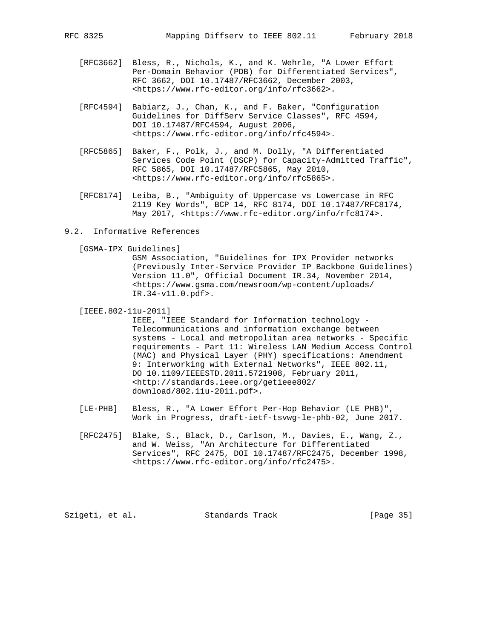- [RFC3662] Bless, R., Nichols, K., and K. Wehrle, "A Lower Effort Per-Domain Behavior (PDB) for Differentiated Services", RFC 3662, DOI 10.17487/RFC3662, December 2003, <https://www.rfc-editor.org/info/rfc3662>.
- [RFC4594] Babiarz, J., Chan, K., and F. Baker, "Configuration Guidelines for DiffServ Service Classes", RFC 4594, DOI 10.17487/RFC4594, August 2006, <https://www.rfc-editor.org/info/rfc4594>.
- [RFC5865] Baker, F., Polk, J., and M. Dolly, "A Differentiated Services Code Point (DSCP) for Capacity-Admitted Traffic", RFC 5865, DOI 10.17487/RFC5865, May 2010, <https://www.rfc-editor.org/info/rfc5865>.
- [RFC8174] Leiba, B., "Ambiguity of Uppercase vs Lowercase in RFC 2119 Key Words", BCP 14, RFC 8174, DOI 10.17487/RFC8174, May 2017, <https://www.rfc-editor.org/info/rfc8174>.
- 9.2. Informative References

[GSMA-IPX\_Guidelines]

 GSM Association, "Guidelines for IPX Provider networks (Previously Inter-Service Provider IP Backbone Guidelines) Version 11.0", Official Document IR.34, November 2014, <https://www.gsma.com/newsroom/wp-content/uploads/ IR.34-v11.0.pdf>.

[IEEE.802-11u-2011]

 IEEE, "IEEE Standard for Information technology - Telecommunications and information exchange between systems - Local and metropolitan area networks - Specific requirements - Part 11: Wireless LAN Medium Access Control (MAC) and Physical Layer (PHY) specifications: Amendment 9: Interworking with External Networks", IEEE 802.11, DO 10.1109/IEEESTD.2011.5721908, February 2011, <http://standards.ieee.org/getieee802/ download/802.11u-2011.pdf>.

- [LE-PHB] Bless, R., "A Lower Effort Per-Hop Behavior (LE PHB)", Work in Progress, draft-ietf-tsvwg-le-phb-02, June 2017.
- [RFC2475] Blake, S., Black, D., Carlson, M., Davies, E., Wang, Z., and W. Weiss, "An Architecture for Differentiated Services", RFC 2475, DOI 10.17487/RFC2475, December 1998, <https://www.rfc-editor.org/info/rfc2475>.

Szigeti, et al. Standards Track [Page 35]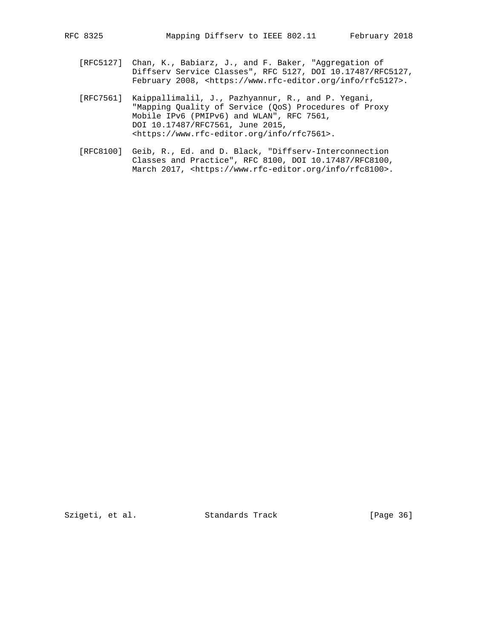- [RFC5127] Chan, K., Babiarz, J., and F. Baker, "Aggregation of Diffserv Service Classes", RFC 5127, DOI 10.17487/RFC5127, February 2008, <https://www.rfc-editor.org/info/rfc5127>.
- [RFC7561] Kaippallimalil, J., Pazhyannur, R., and P. Yegani, "Mapping Quality of Service (QoS) Procedures of Proxy Mobile IPv6 (PMIPv6) and WLAN", RFC 7561, DOI 10.17487/RFC7561, June 2015, <https://www.rfc-editor.org/info/rfc7561>.
- [RFC8100] Geib, R., Ed. and D. Black, "Diffserv-Interconnection Classes and Practice", RFC 8100, DOI 10.17487/RFC8100, March 2017, <https://www.rfc-editor.org/info/rfc8100>.

Szigeti, et al. Standards Track [Page 36]